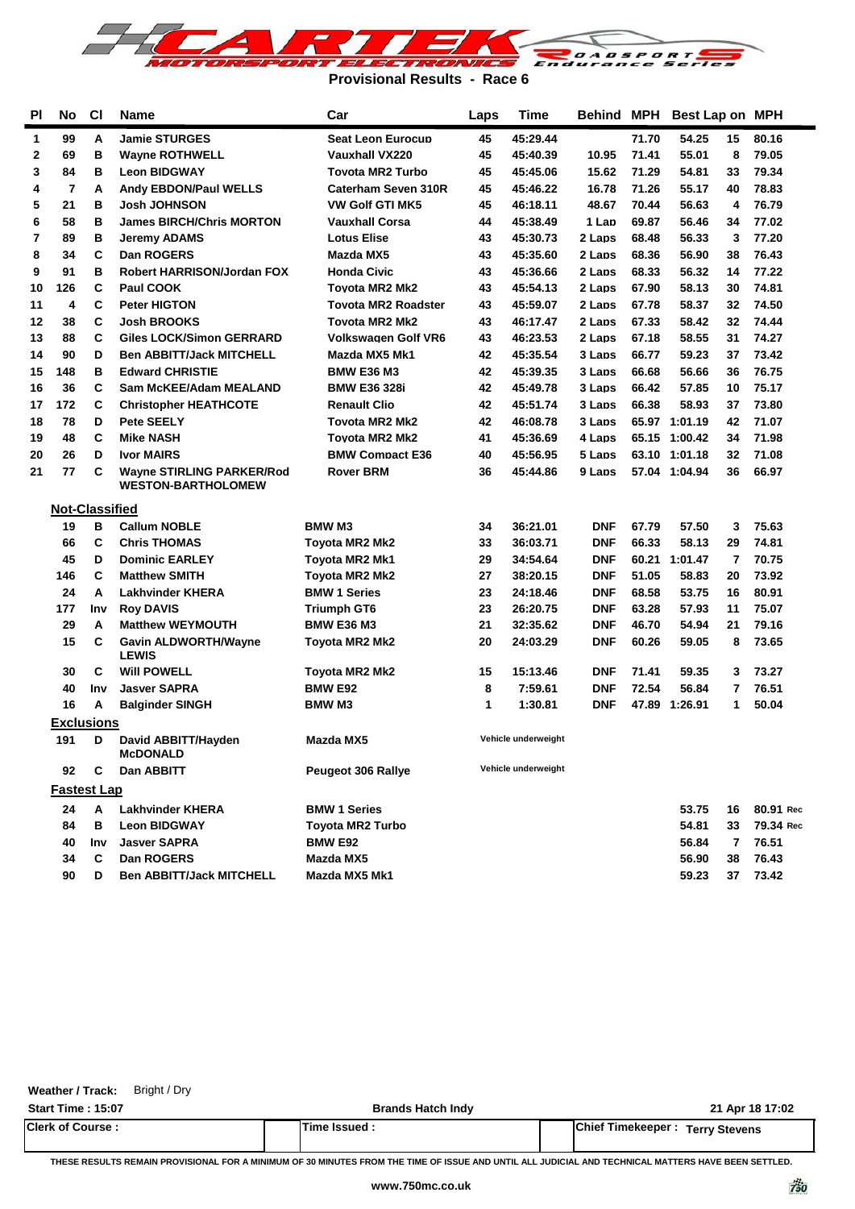

**Provisional Results - Race 6**

| <b>PI</b>      | <b>No</b>             | C1  | Name                                                          | Car                        | Laps | <b>Time</b>         | Behind     | <b>MPH</b> | Best Lap on MPH |    |           |
|----------------|-----------------------|-----|---------------------------------------------------------------|----------------------------|------|---------------------|------------|------------|-----------------|----|-----------|
| 1              | 99                    | Α   | <b>Jamie STURGES</b>                                          | <b>Seat Leon Eurocup</b>   | 45   | 45:29.44            |            | 71.70      | 54.25           | 15 | 80.16     |
| 2              | 69                    | в   | <b>Wayne ROTHWELL</b>                                         | Vauxhall VX220             | 45   | 45:40.39            | 10.95      | 71.41      | 55.01           | 8  | 79.05     |
| 3              | 84                    | в   | <b>Leon BIDGWAY</b>                                           | <b>Tovota MR2 Turbo</b>    | 45   | 45:45.06            | 15.62      | 71.29      | 54.81           | 33 | 79.34     |
| 4              | $\overline{7}$        | A   | <b>Andy EBDON/Paul WELLS</b>                                  | Caterham Seven 310R        | 45   | 45:46.22            | 16.78      | 71.26      | 55.17           | 40 | 78.83     |
| 5              | 21                    | в   | Josh JOHNSON                                                  | VW Golf GTI MK5            | 45   | 46:18.11            | 48.67      | 70.44      | 56.63           | 4  | 76.79     |
| 6              | 58                    | в   | <b>James BIRCH/Chris MORTON</b>                               | Vauxhall Corsa             | 44   | 45:38.49            | 1 Lap      | 69.87      | 56.46           | 34 | 77.02     |
| $\overline{7}$ | 89                    | в   | Jeremy ADAMS                                                  | <b>Lotus Elise</b>         | 43   | 45:30.73            | 2 Laps     | 68.48      | 56.33           | 3  | 77.20     |
| 8              | 34                    | C   | Dan ROGERS                                                    | Mazda MX5                  | 43   | 45:35.60            | 2 Laps     | 68.36      | 56.90           | 38 | 76.43     |
| 9              | 91                    | в   | Robert HARRISON/Jordan FOX                                    | <b>Honda Civic</b>         | 43   | 45:36.66            | 2 Laps     | 68.33      | 56.32           | 14 | 77.22     |
| 10             | 126                   | C   | Paul COOK                                                     | Tovota MR2 Mk2             | 43   | 45:54.13            | 2 Laps     | 67.90      | 58.13           | 30 | 74.81     |
| 11             | 4                     | C   | <b>Peter HIGTON</b>                                           | <b>Tovota MR2 Roadster</b> | 43   | 45:59.07            | 2 Laps     | 67.78      | 58.37           | 32 | 74.50     |
| 12             | 38                    | C   | <b>Josh BROOKS</b>                                            | <b>Tovota MR2 Mk2</b>      | 43   | 46:17.47            | 2 Laps     | 67.33      | 58.42           | 32 | 74.44     |
| 13             | 88                    | C   | Giles LOCK/Simon GERRARD                                      | <b>Volkswagen Golf VR6</b> | 43   | 46:23.53            | 2 Laps     | 67.18      | 58.55           | 31 | 74.27     |
| 14             | 90                    | D   | <b>Ben ABBITT/Jack MITCHELL</b>                               | Mazda MX5 Mk1              | 42   | 45:35.54            | 3 Laps     | 66.77      | 59.23           | 37 | 73.42     |
| 15             | 148                   | в   | <b>Edward CHRISTIE</b>                                        | <b>BMW E36 M3</b>          | 42   | 45:39.35            | 3 Laps     | 66.68      | 56.66           | 36 | 76.75     |
| 16             | 36                    | С   | Sam McKEE/Adam MEALAND                                        | <b>BMW E36 328i</b>        | 42   | 45:49.78            | 3 Laps     | 66.42      | 57.85           | 10 | 75.17     |
| 17             | 172                   | C   | <b>Christopher HEATHCOTE</b>                                  | <b>Renault Clio</b>        | 42   | 45:51.74            | 3 Laps     | 66.38      | 58.93           | 37 | 73.80     |
| 18             | 78                    | D   | <b>Pete SEELY</b>                                             | <b>Tovota MR2 Mk2</b>      | 42   | 46:08.78            | 3 Laps     |            | 65.97 1:01.19   | 42 | 71.07     |
| 19             | 48                    | C   | <b>Mike NASH</b>                                              | <b>Tovota MR2 Mk2</b>      | 41   | 45:36.69            | 4 Laps     |            | 65.15 1:00.42   | 34 | 71.98     |
| 20             | 26                    | D   | <b>Ivor MAIRS</b>                                             | <b>BMW Compact E36</b>     | 40   | 45:56.95            | 5 Laps     |            | 63.10 1:01.18   | 32 | 71.08     |
| 21             | 77                    | C   | <b>Wayne STIRLING PARKER/Rod</b><br><b>WESTON-BARTHOLOMEW</b> | Rover BRM                  | 36   | 45:44.86            | 9 Laps     |            | 57.04 1:04.94   | 36 | 66.97     |
|                | <b>Not-Classified</b> |     |                                                               |                            |      |                     |            |            |                 |    |           |
|                | 19                    | в   | <b>Callum NOBLE</b>                                           | <b>BMW M3</b>              | 34   | 36:21.01            | <b>DNF</b> | 67.79      | 57.50           | 3  | 75.63     |
|                | 66                    | С   | <b>Chris THOMAS</b>                                           | Toyota MR2 Mk2             | 33   | 36:03.71            | <b>DNF</b> | 66.33      | 58.13           | 29 | 74.81     |
|                | 45                    | D   | <b>Dominic EARLEY</b>                                         | Toyota MR2 Mk1             | 29   | 34:54.64            | <b>DNF</b> | 60.21      | 1:01.47         | 7  | 70.75     |
|                | 146                   | C   | <b>Matthew SMITH</b>                                          | <b>Toyota MR2 Mk2</b>      | 27   | 38:20.15            | <b>DNF</b> | 51.05      | 58.83           | 20 | 73.92     |
|                | 24                    | А   | <b>Lakhvinder KHERA</b>                                       | <b>BMW 1 Series</b>        | 23   | 24:18.46            | DNF        | 68.58      | 53.75           | 16 | 80.91     |
|                | 177                   | Inv | <b>Roy DAVIS</b>                                              | Triumph GT6                | 23   | 26:20.75            | <b>DNF</b> | 63.28      | 57.93           | 11 | 75.07     |
|                | 29                    | Α   | <b>Matthew WEYMOUTH</b>                                       | <b>BMW E36 M3</b>          | 21   | 32:35.62            | DNF        | 46.70      | 54.94           | 21 | 79.16     |
|                | 15                    | C   | <b>Gavin ALDWORTH/Wayne</b><br><b>LEWIS</b>                   | Toyota MR2 Mk2             | 20   | 24:03.29            | <b>DNF</b> | 60.26      | 59.05           | 8  | 73.65     |
|                | 30                    | С   | <b>Will POWELL</b>                                            | Toyota MR2 Mk2             | 15   | 15:13.46            | DNF        | 71.41      | 59.35           | 3  | 73.27     |
|                | 40                    | Inv | <b>Jasver SAPRA</b>                                           | <b>BMW E92</b>             | 8    | 7:59.61             | <b>DNF</b> | 72.54      | 56.84           | 7  | 76.51     |
|                | 16                    | Α   | <b>Balginder SINGH</b>                                        | <b>BMW M3</b>              | 1    | 1:30.81             | DNF        |            | 47.89 1:26.91   | 1  | 50.04     |
|                | <b>Exclusions</b>     |     |                                                               |                            |      |                     |            |            |                 |    |           |
|                | 191                   | D   | David ABBITT/Hayden<br>MCDONALD                               | Mazda MX5                  |      | Vehicle underweight |            |            |                 |    |           |
|                | 92                    | C   | Dan ABBITT                                                    | <b>Peugeot 306 Rallye</b>  |      | Vehicle underweight |            |            |                 |    |           |
|                | <u>Fastest Lap</u>    |     |                                                               |                            |      |                     |            |            |                 |    |           |
|                | 24                    | А   | <b>Lakhvinder KHERA</b>                                       | <b>BMW 1 Series</b>        |      |                     |            |            | 53.75           | 16 | 80.91 Rec |
|                | 84                    | в   | <b>Leon BIDGWAY</b>                                           | <b>Toyota MR2 Turbo</b>    |      |                     |            |            | 54.81           | 33 | 79.34 Rec |
|                | 40                    | Inv | <b>Jasver SAPRA</b>                                           | <b>BMW E92</b>             |      |                     |            |            | 56.84           | 7  | 76.51     |
|                | 34                    | С   | Dan ROGERS                                                    | Mazda MX5                  |      |                     |            |            | 56.90           | 38 | 76.43     |
|                | 90                    | D   | <b>Ben ABBITT/Jack MITCHELL</b>                               | Mazda MX5 Mk1              |      |                     |            |            | 59.23           | 37 | 73.42     |
|                |                       |     |                                                               |                            |      |                     |            |            |                 |    |           |

| <b>Start Time: 15:07</b> | <b>Brands Hatch Indy</b> | 21 Apr 18 17:02                          |
|--------------------------|--------------------------|------------------------------------------|
| <b>Clerk of Course:</b>  | <b>Time Issued.</b>      | <b>IChief Timekeeper : Terry Stevens</b> |

**Weather / Track:** Bright / Dry

**THESE RESULTS REMAIN PROVISIONAL FOR A MINIMUM OF 30 MINUTES FROM THE TIME OF ISSUE AND UNTIL ALL JUDICIAL AND TECHNICAL MATTERS HAVE BEEN SETTLED.**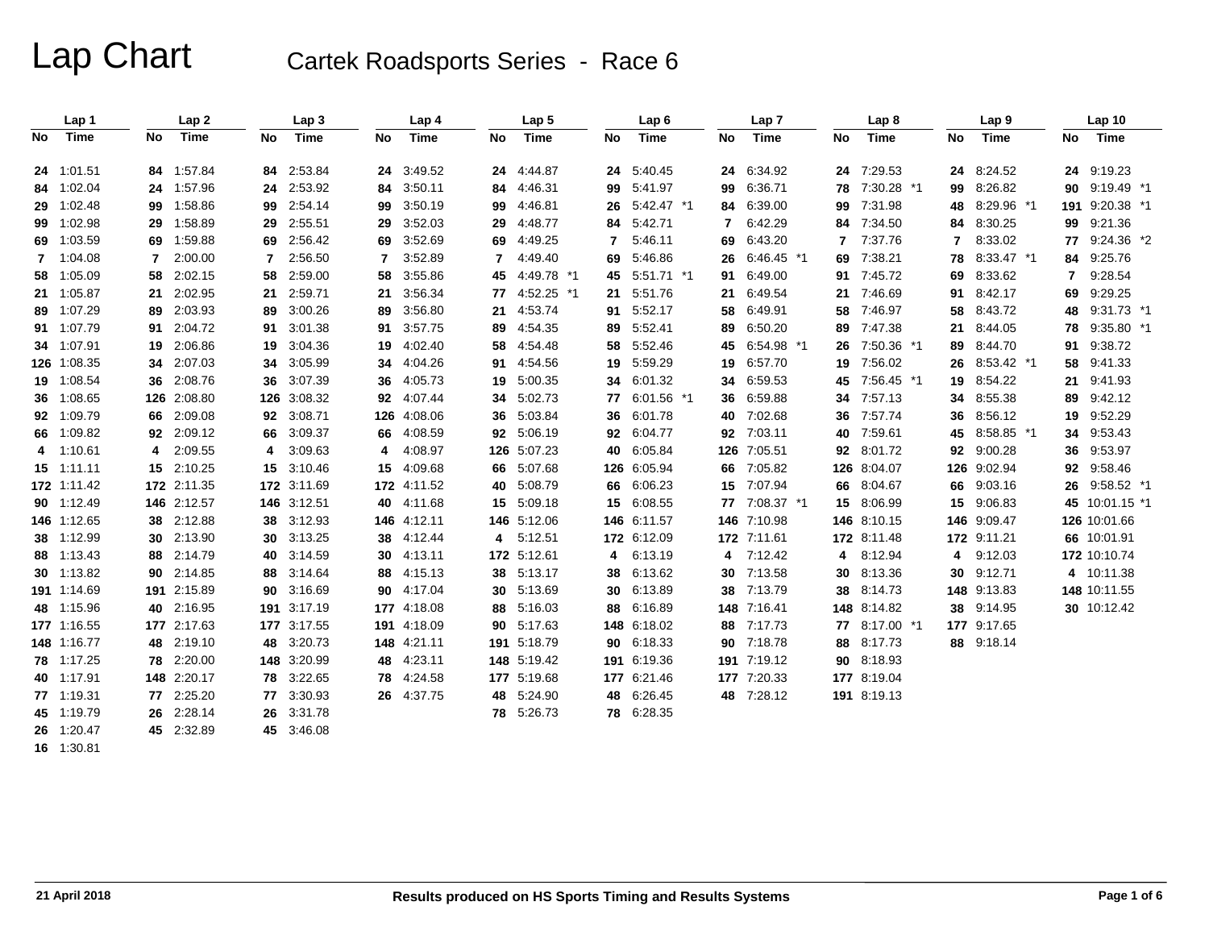|    | Lap 1       |    | Lap <sub>2</sub> |     | Lap <sub>3</sub> |     | Lap 4       |    | Lap <sub>5</sub> |    | Lap <sub>6</sub> |                | Lap <sub>7</sub> |    | Lap <sub>8</sub> |    | Lap <sub>9</sub> |              | Lap 10         |
|----|-------------|----|------------------|-----|------------------|-----|-------------|----|------------------|----|------------------|----------------|------------------|----|------------------|----|------------------|--------------|----------------|
| No | Time        | No | <b>Time</b>      | No  | Time             | No  | Time        | No | <b>Time</b>      | No | <b>Time</b>      | No             | Time             | No | Time             | No | Time             | No           | Time           |
|    | 24 1:01.51  |    | 84 1:57.84       | 84  | 2:53.84          | 24  | 3:49.52     |    | 24 4:44.87       |    | 24 5:40.45       |                | 24 6:34.92       | 24 | 7:29.53          |    | 24 8:24.52       |              | 24 9:19.23     |
|    | 84 1:02.04  |    | 24 1:57.96       | 24  | 2:53.92          | 84  | 3:50.11     | 84 | 4:46.31          | 99 | 5:41.97          |                | 99 6:36.71       | 78 | 7:30.28 *1       | 99 | 8:26.82          | 90           | 9:19.49 *1     |
|    | 29 1:02.48  |    | 99 1:58.86       | 99  | 2:54.14          | 99  | 3:50.19     | 99 | 4:46.81          | 26 | 5:42.47 *1       |                | 84 6:39.00       | 99 | 7:31.98          | 48 | 8:29.96 *1       |              | 191 9:20.38 *1 |
|    | 99 1:02.98  |    | 29 1:58.89       | 29  | 2:55.51          | 29  | 3:52.03     | 29 | 4:48.77          | 84 | 5:42.71          | $\overline{7}$ | 6:42.29          | 84 | 7:34.50          | 84 | 8:30.25          | 99           | 9:21.36        |
|    | 69 1:03.59  |    | 69 1:59.88       | 69  | 2:56.42          | 69  | 3:52.69     | 69 | 4:49.25          | 7  | 5:46.11          | 69             | 6:43.20          |    | 7:37.76          | 7  | 8:33.02          |              | 77 9:24.36 *2  |
|    | 7 1:04.08   | 7  | 2:00.00          |     | 2:56.50          | 7   | 3:52.89     | 7  | 4:49.40          | 69 | 5:46.86          |                | 26 6:46.45 *1    | 69 | 7:38.21          | 78 | 8:33.47 *1       | 84           | 9:25.76        |
|    | 58 1:05.09  |    | 58 2:02.15       | 58  | 2:59.00          | 58  | 3:55.86     | 45 | 4:49.78 *1       |    | 45 5:51.71 *1    | 91             | 6:49.00          | 91 | 7:45.72          | 69 | 8:33.62          | $\mathbf{7}$ | 9:28.54        |
|    | 21 1:05.87  |    | 21 2:02.95       | 21  | 2:59.71          | 21  | 3:56.34     | 77 | 4:52.25 *1       | 21 | 5:51.76          | 21             | 6.49.54          | 21 | 7:46.69          | 91 | 8:42.17          | 69           | 9:29.25        |
|    | 89 1:07.29  |    | 89 2:03.93       | 89  | 3:00.26          | 89  | 3:56.80     | 21 | 4:53.74          | 91 | 5:52.17          | 58             | 6:49.91          | 58 | 7:46.97          | 58 | 8:43.72          | 48           | 9:31.73 *1     |
|    | 91 1:07.79  |    | 91 2:04.72       | 91  | 3:01.38          | 91  | 3:57.75     | 89 | 4:54.35          | 89 | 5:52.41          | 89             | 6:50.20          | 89 | 7:47.38          | 21 | 8:44.05          | 78           | $9:35.80$ *1   |
|    | 34 1:07.91  |    | 19 2:06.86       | 19  | 3:04.36          | 19  | 4:02.40     | 58 | 4:54.48          | 58 | 5:52.46          | 45             | 6:54.98 *1       | 26 | 7:50.36 *1       | 89 | 8:44.70          | 91           | 9:38.72        |
|    | 126 1:08.35 |    | 34 2:07.03       | 34  | 3:05.99          | 34  | 4:04.26     | 91 | 4:54.56          | 19 | 5:59.29          |                | 19 6:57.70       | 19 | 7:56.02          | 26 | 8:53.42 *1       | 58           | 9:41.33        |
|    | 19 1:08.54  |    | 36 2:08.76       | 36  | 3:07.39          | 36  | 4:05.73     | 19 | 5:00.35          | 34 | 6:01.32          |                | 34 6:59.53       | 45 | 7:56.45 *1       | 19 | 8:54.22          | 21           | 9:41.93        |
|    | 36 1:08.65  |    | 126 2:08.80      | 126 | 3:08.32          | 92  | 4:07.44     | 34 | 5:02.73          | 77 | 6:01.56 *1       |                | 36 6:59.88       | 34 | 7:57.13          | 34 | 8:55.38          | 89           | 9:42.12        |
|    | 92 1:09.79  |    | 66 2:09.08       | 92  | 3:08.71          | 126 | 4:08.06     | 36 | 5:03.84          | 36 | 6:01.78          |                | 40 7:02.68       | 36 | 7:57.74          | 36 | 8:56.12          | 19           | 9:52.29        |
|    | 66 1:09.82  |    | 92 2:09.12       | 66  | 3:09.37          | 66  | 4:08.59     |    | 92 5:06.19       |    | 92 6:04.77       |                | 92 7:03.11       | 40 | 7:59.61          | 45 | 8:58.85 *1       | 34           | 9:53.43        |
|    | 4 1:10.61   | 4  | 2:09.55          | 4   | 3:09.63          | 4   | 4:08.97     |    | 126 5:07.23      |    | 40 6:05.84       |                | 126 7:05.51      | 92 | 8:01.72          | 92 | 9:00.28          | 36           | 9:53.97        |
|    | 15 1:11.11  |    | 15 2:10.25       | 15  | 3:10.46          | 15  | 4:09.68     | 66 | 5:07.68          |    | 126 6:05.94      |                | 66 7:05.82       |    | 126 8:04.07      |    | 126 9:02.94      |              | 92 9:58.46     |
|    | 172 1:11.42 |    | 172 2:11.35      |     | 172 3:11.69      |     | 172 4:11.52 |    | 40 5:08.79       |    | 66 6:06.23       |                | 15 7:07.94       | 66 | 8:04.67          | 66 | 9:03.16          |              | 26 9:58.52 *1  |
|    | 90 1:12.49  |    | 146 2:12.57      |     | 146 3:12.51      | 40  | 4:11.68     |    | 15 5:09.18       |    | 15 6:08.55       |                | 77 7:08.37 *1    | 15 | 8:06.99          | 15 | 9:06.83          |              | 45 10:01.15 *1 |
|    | 146 1:12.65 |    | 38 2:12.88       | 38  | 3:12.93          | 146 | 4:12.11     |    | 146 5:12.06      |    | 146 6:11.57      |                | 146 7:10.98      |    | 146 8:10.15      |    | 146 9:09.47      |              | 126 10:01.66   |
|    | 38 1:12.99  |    | 30 2:13.90       | 30  | 3:13.25          | 38  | 4:12.44     |    | 4 5:12.51        |    | 172 6:12.09      |                | 172 7:11.61      |    | 172 8:11.48      |    | 172 9:11.21      |              | 66 10:01.91    |
|    | 88 1:13.43  |    | 88 2:14.79       | 40  | 3:14.59          | 30  | 4:13.11     |    | 172 5:12.61      |    | 4 6:13.19        |                | 4 7:12.42        | 4  | 8:12.94          | 4  | 9:12.03          |              | 172 10:10.74   |
|    | 30 1:13.82  |    | 90 2:14.85       | 88  | 3:14.64          | 88  | 4:15.13     |    | 38 5:13.17       | 38 | 6:13.62          |                | 30 7:13.58       | 30 | 8:13.36          | 30 | 9:12.71          |              | 4 10:11.38     |
|    | 191 1:14.69 |    | 191 2:15.89      | 90  | 3:16.69          | 90  | 4:17.04     |    | 30 5:13.69       |    | 30 6:13.89       |                | 38 7:13.79       | 38 | 8:14.73          |    | 148 9:13.83      |              | 148 10:11.55   |
|    | 48 1:15.96  |    | 40 2:16.95       |     | 191 3:17.19      |     | 177 4:18.08 |    | 88 5:16.03       |    | 88 6:16.89       |                | 148 7:16.41      |    | 148 8:14.82      |    | 38 9:14.95       |              | 30 10:12.42    |
|    | 177 1:16.55 |    | 177 2:17.63      |     | 177 3:17.55      | 191 | 4:18.09     |    | 90 5:17.63       |    | 148 6:18.02      |                | 88 7:17.73       | 77 | 8:17.00 *1       |    | 177 9:17.65      |              |                |
|    | 148 1:16.77 |    | 48 2:19.10       | 48  | 3:20.73          | 148 | 4:21.11     |    | 191 5:18.79      |    | 90 6:18.33       |                | 90 7:18.78       | 88 | 8:17.73          |    | 88 9:18.14       |              |                |
|    | 78 1:17.25  |    | 78 2:20.00       |     | 148 3:20.99      | 48  | 4:23.11     |    | 148 5:19.42      |    | 191 6:19.36      |                | 191 7:19.12      | 90 | 8:18.93          |    |                  |              |                |
|    | 40 1:17.91  |    | 148 2:20.17      | 78. | 3:22.65          | 78  | 4:24.58     |    | 177 5:19.68      |    | 177 6:21.46      |                | 177 7:20.33      |    | 177 8:19.04      |    |                  |              |                |
|    | 77 1:19.31  |    | 77 2:25.20       | 77  | 3:30.93          |     | 26 4:37.75  |    | 48 5:24.90       |    | 48 6:26.45       |                | 48 7:28.12       |    | 191 8:19.13      |    |                  |              |                |
|    | 45 1:19.79  |    | 26 2:28.14       | 26  | 3:31.78          |     |             |    | 78 5:26.73       |    | 78 6:28.35       |                |                  |    |                  |    |                  |              |                |
|    | 26 1:20.47  |    | 45 2:32.89       |     | 45 3:46.08       |     |             |    |                  |    |                  |                |                  |    |                  |    |                  |              |                |

**16** 1:30.81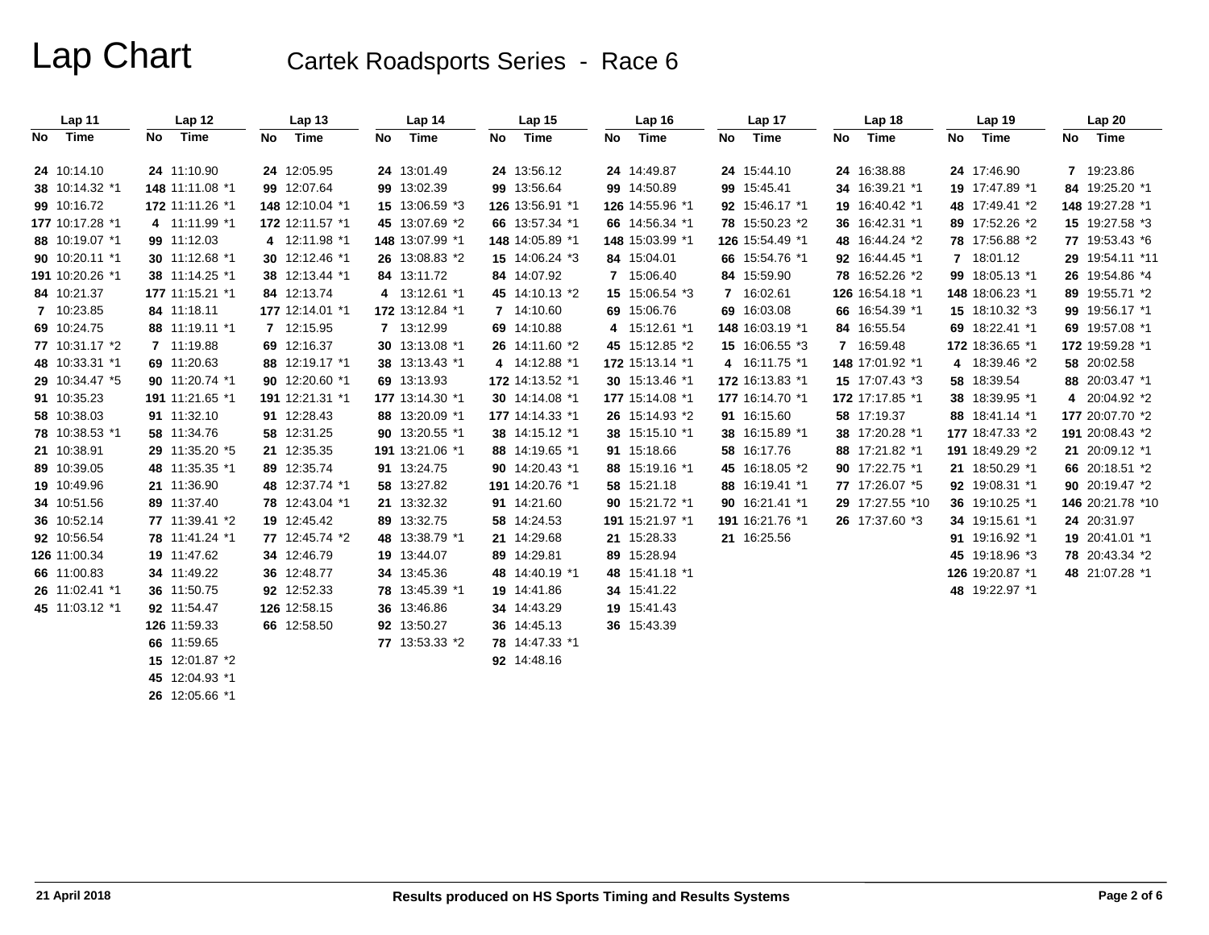| Lap 11          |    | Lap 12                                                                                                                                                                                                                                                                                                                                                                               |    | Lap <sub>13</sub> |    | Lap 14          |    | Lap 15          | Lap <sub>16</sub> |    | Lap 17          |    | Lap <sub>18</sub> |    | Lap 19          |    | Lap 20           |
|-----------------|----|--------------------------------------------------------------------------------------------------------------------------------------------------------------------------------------------------------------------------------------------------------------------------------------------------------------------------------------------------------------------------------------|----|-------------------|----|-----------------|----|-----------------|-------------------|----|-----------------|----|-------------------|----|-----------------|----|------------------|
| No Time         | No | Time                                                                                                                                                                                                                                                                                                                                                                                 | No | Time              | No | Time            | No | Time            | No Time           | No | Time            | No | Time              | No | Time            | No | Time             |
| 24 10:14.10     |    | 24 11:10.90                                                                                                                                                                                                                                                                                                                                                                          |    | 24 12:05.95       |    | 24 13:01.49     |    | 24 13:56.12     | 24 14:49.87       |    | 24 15:44.10     |    | 24 16:38.88       |    | 24 17:46.90     |    | 7 19:23.86       |
| 38 10:14.32 *1  |    | 148 11:11.08 *1                                                                                                                                                                                                                                                                                                                                                                      |    | 99 12:07.64       |    | 99 13:02.39     |    | 99 13:56.64     | 99 14:50.89       |    | 99 15:45.41     |    | 34 16:39.21 *1    |    | 19 17:47.89 *1  |    | 84 19:25.20 *1   |
| 99 10:16.72     |    | 172 11:11.26 *1                                                                                                                                                                                                                                                                                                                                                                      |    | 148 12:10.04 *1   |    | 15 13:06.59 *3  |    | 126 13:56.91 *1 | 126 14:55.96 *1   |    | 92 15:46.17 *1  |    | 19 16:40.42 *1    |    | 48 17:49.41 *2  |    | 148 19:27.28 *1  |
| 177 10:17.28 *1 |    | 4 11:11.99 *1                                                                                                                                                                                                                                                                                                                                                                        |    | 172 12:11.57 *1   |    | 45 13:07.69 *2  |    | 66 13:57.34 *1  | 66 14:56.34 *1    |    | 78 15:50.23 *2  |    | 36 16:42.31 *1    |    | 89 17:52.26 *2  |    | 15 19:27.58 *3   |
| 88 10:19.07 *1  |    | 99 11:12.03                                                                                                                                                                                                                                                                                                                                                                          |    | 4 12:11.98 *1     |    | 148 13:07.99 *1 |    | 148 14:05.89 *1 | 148 15:03.99 *1   |    | 126 15:54.49 *1 |    | 48 16:44.24 *2    |    | 78 17:56.88 *2  |    | 77 19:53.43 *6   |
| 90 10:20.11 *1  |    | 30 11:12.68 *1                                                                                                                                                                                                                                                                                                                                                                       |    | 30 12:12.46 *1    |    | 26 13:08.83 *2  |    | 15 14:06.24 *3  | 84 15:04.01       |    | 66 15:54.76 *1  |    | 92 16:44.45 *1    |    | 7 18:01.12      |    | 29 19:54.11 *11  |
| 191 10:20.26 *1 |    | 38 11:14.25 *1                                                                                                                                                                                                                                                                                                                                                                       |    | 38 12:13.44 *1    |    | 84 13:11.72     |    | 84 14:07.92     | 7 15:06.40        |    | 84 15:59.90     |    | 78 16:52.26 *2    |    | 99 18:05.13 *1  |    | 26 19:54.86 *4   |
| 84 10:21.37     |    | 177 11:15.21 *1                                                                                                                                                                                                                                                                                                                                                                      |    | 84 12:13.74       |    | 4 13:12.61 *1   |    | 45 14:10.13 *2  | 15 15:06.54 *3    |    | 7 16:02.61      |    | 126 16:54.18 *1   |    | 148 18:06.23 *1 |    | 89 19:55.71 *2   |
| 7 10:23.85      |    | 84 11:18.11                                                                                                                                                                                                                                                                                                                                                                          |    | 177 12:14.01 *1   |    | 172 13:12.84 *1 |    | 7 14:10.60      | 69 15:06.76       |    | 69 16:03.08     |    | 66 16:54.39 *1    |    | 15 18:10.32 *3  |    | 99 19:56.17 *1   |
| 69 10:24.75     |    | 88 11:19.11 *1                                                                                                                                                                                                                                                                                                                                                                       |    | 7 12:15.95        |    | 7 13:12.99      |    | 69 14:10.88     | 4 15:12.61 *1     |    | 148 16:03.19 *1 |    | 84 16:55.54       |    | 69 18:22.41 *1  |    | 69 19:57.08 *1   |
| 77 10:31.17 *2  |    | 7 11:19.88                                                                                                                                                                                                                                                                                                                                                                           |    | 69 12:16.37       |    | 30 13:13.08 *1  |    | 26 14:11.60 *2  | 45 15:12.85 *2    |    | 15 16:06.55 *3  |    | 7 16:59.48        |    | 172 18:36.65 *1 |    | 172 19:59.28 *1  |
| 48 10:33.31 *1  |    | 69 11:20.63                                                                                                                                                                                                                                                                                                                                                                          |    | 88 12:19.17 *1    |    | 38 13:13.43 *1  |    | 4 14:12.88 *1   | 172 15:13.14 *1   |    | 4 16:11.75 *1   |    | 148 17:01.92 *1   |    | 4 18:39.46 *2   |    | 58 20:02.58      |
| 29 10:34.47 *5  |    | 90 11:20.74 *1                                                                                                                                                                                                                                                                                                                                                                       |    | 90 12:20.60 *1    |    | 69 13:13.93     |    | 172 14:13.52 *1 | 30 15:13.46 *1    |    | 172 16:13.83 *1 |    | 15 17:07.43 *3    |    | 58 18:39.54     |    | 88 20:03.47 *1   |
| 91 10:35.23     |    | 191 11:21.65 *1                                                                                                                                                                                                                                                                                                                                                                      |    | 191 12:21.31 *1   |    | 177 13:14.30 *1 |    | 30 14:14.08 *1  | 177 15:14.08 *1   |    | 177 16:14.70 *1 |    | 172 17:17.85 *1   |    | 38 18:39.95 *1  |    | 4 20:04.92 *2    |
| 58 10:38.03     |    | 91 11:32.10                                                                                                                                                                                                                                                                                                                                                                          |    | 91 12:28.43       |    | 88 13:20.09 *1  |    | 177 14:14.33 *1 | 26 15:14.93 *2    |    | 91 16:15.60     |    | 58 17:19.37       |    | 88 18:41.14 *1  |    | 177 20:07.70 *2  |
| 78 10:38.53 *1  |    | 58 11:34.76                                                                                                                                                                                                                                                                                                                                                                          |    | 58 12:31.25       |    | 90 13:20.55 *1  |    | 38 14:15.12 *1  | 38 15:15.10 *1    |    | 38 16:15.89 *1  |    | 38 17:20.28 *1    |    | 177 18:47.33 *2 |    | 191 20:08.43 *2  |
| 21 10:38.91     |    | 29 11:35.20 *5                                                                                                                                                                                                                                                                                                                                                                       |    | 21 12:35.35       |    | 191 13:21.06 *1 |    | 88 14:19.65 *1  | 91 15:18.66       |    | 58 16:17.76     |    | 88 17:21.82 *1    |    | 191 18:49.29 *2 |    | 21 20:09.12 *1   |
| 89 10:39.05     |    | 48 11:35.35 *1                                                                                                                                                                                                                                                                                                                                                                       |    | 89 12:35.74       |    | 91 13:24.75     |    | 90 14:20.43 *1  | 88 15:19.16 *1    |    | 45 16:18.05 *2  |    | 90 17:22.75 *1    |    | 21 18:50.29 *1  |    | 66 20:18.51 *2   |
| 19 10:49.96     |    | 21 11:36.90                                                                                                                                                                                                                                                                                                                                                                          |    | 48 12:37.74 *1    |    | 58 13:27.82     |    | 191 14:20.76 *1 | 58 15:21.18       |    | 88 16:19.41 *1  |    | 77 17:26.07 *5    |    | 92 19:08.31 *1  |    | 90 20:19.47 *2   |
| 34 10:51.56     |    | 89 11:37.40                                                                                                                                                                                                                                                                                                                                                                          |    | 78 12:43.04 *1    |    | 21 13:32.32     |    | 91 14:21.60     | 90 15:21.72 *1    |    | 90 16:21.41 *1  |    | 29 17:27.55 *10   |    | 36 19:10.25 *1  |    | 146 20:21.78 *10 |
| 36 10:52.14     |    | 77 11:39.41 *2                                                                                                                                                                                                                                                                                                                                                                       |    | 19 12:45.42       |    | 89 13:32.75     |    | 58 14:24.53     | 191 15:21.97 *1   |    | 191 16:21.76 *1 |    | 26 17:37.60 *3    |    | 34 19:15.61 *1  |    | 24 20:31.97      |
| 92 10:56.54     |    | 78 11:41.24 *1                                                                                                                                                                                                                                                                                                                                                                       |    | 77 12:45.74 *2    |    | 48 13:38.79 *1  |    | 21 14:29.68     | 21 15:28.33       |    | 21 16:25.56     |    |                   |    | 91 19:16.92 *1  |    | 19 20:41.01 *1   |
| 126 11:00.34    |    | 19 11:47.62                                                                                                                                                                                                                                                                                                                                                                          |    | 34 12:46.79       |    | 19 13:44.07     |    | 89 14:29.81     | 89 15:28.94       |    |                 |    |                   |    | 45 19:18.96 *3  |    | 78 20:43.34 *2   |
| 66 11:00.83     |    | 34 11:49.22                                                                                                                                                                                                                                                                                                                                                                          |    | 36 12:48.77       |    | 34 13:45.36     |    | 48 14:40.19 *1  | 48 15:41.18 *1    |    |                 |    |                   |    | 126 19:20.87 *1 |    | 48 21:07.28 *1   |
| 26 11:02.41 *1  |    | 36 11:50.75                                                                                                                                                                                                                                                                                                                                                                          |    | 92 12:52.33       |    | 78 13:45.39 *1  |    | 19 14:41.86     | 34 15:41.22       |    |                 |    |                   |    | 48 19:22.97 *1  |    |                  |
| 45 11:03.12 *1  |    | 92 11:54.47                                                                                                                                                                                                                                                                                                                                                                          |    | 126 12:58.15      |    | 36 13:46.86     |    | 34 14:43.29     | 19 15:41.43       |    |                 |    |                   |    |                 |    |                  |
|                 |    | 126 11:59.33                                                                                                                                                                                                                                                                                                                                                                         |    | 66 12:58.50       |    | 92 13:50.27     |    | 36 14:45.13     | 36 15:43.39       |    |                 |    |                   |    |                 |    |                  |
|                 |    | 66 11:59.65                                                                                                                                                                                                                                                                                                                                                                          |    |                   |    | 77 13:53.33 *2  |    | 78 14:47.33 *1  |                   |    |                 |    |                   |    |                 |    |                  |
|                 |    | 15 12:01.87 *2                                                                                                                                                                                                                                                                                                                                                                       |    |                   |    |                 |    | 92 14:48.16     |                   |    |                 |    |                   |    |                 |    |                  |
|                 |    | 45 12:04.93 *1                                                                                                                                                                                                                                                                                                                                                                       |    |                   |    |                 |    |                 |                   |    |                 |    |                   |    |                 |    |                  |
|                 |    | $\overline{1}$ $\overline{2}$ $\overline{3}$ $\overline{4}$ $\overline{2}$ $\overline{3}$ $\overline{4}$ $\overline{2}$ $\overline{3}$ $\overline{4}$ $\overline{2}$ $\overline{3}$ $\overline{4}$ $\overline{2}$ $\overline{3}$ $\overline{4}$ $\overline{2}$ $\overline{3}$ $\overline{4}$ $\overline{2}$ $\overline{3}$ $\overline{4}$ $\overline{2}$ $\overline{3}$ $\overline{$ |    |                   |    |                 |    |                 |                   |    |                 |    |                   |    |                 |    |                  |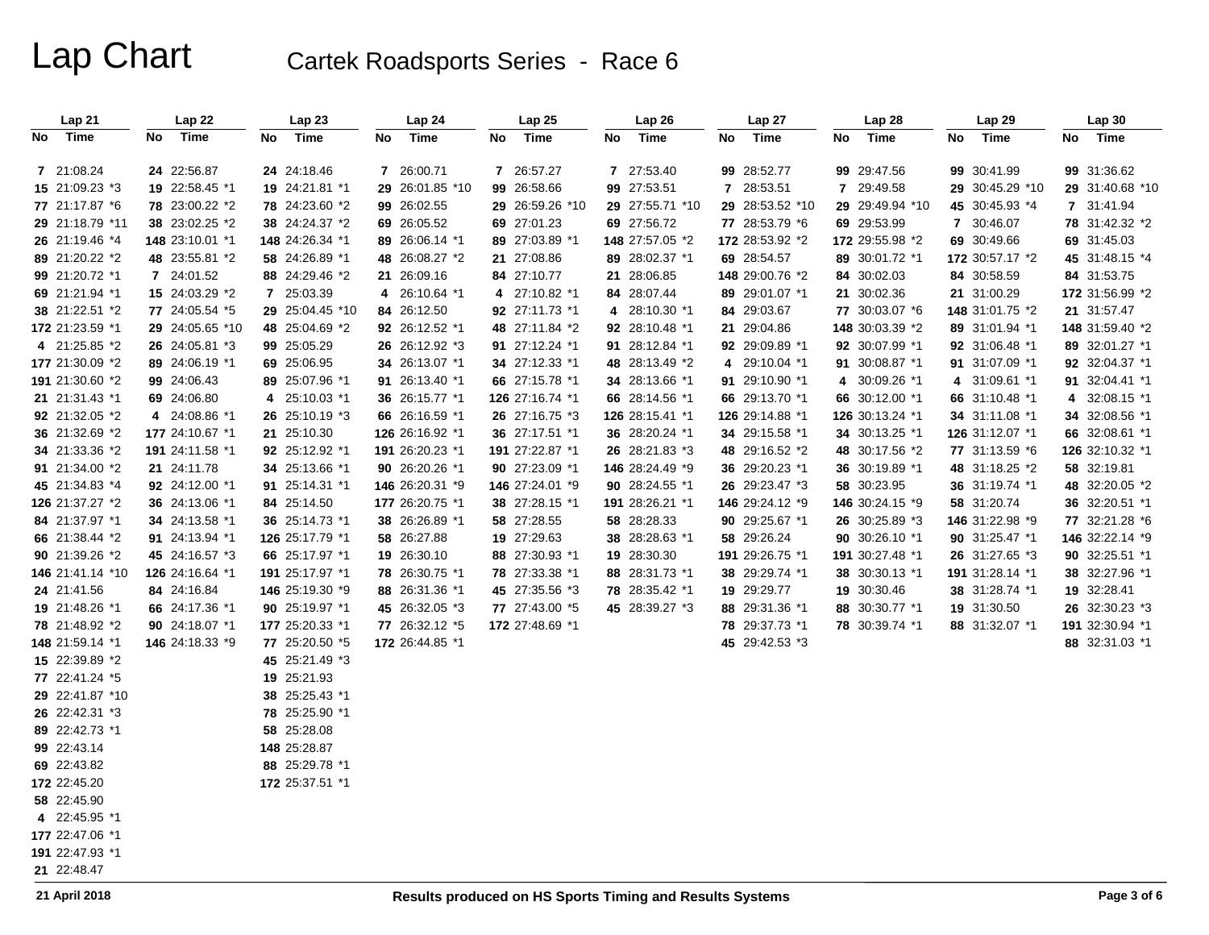| Lap21                            | Lap 22          | Lap23                         | Lap 24          | Lap25           | Lap 26          | Lap 27          | Lap 28          | Lap 29          | Lap 30          |
|----------------------------------|-----------------|-------------------------------|-----------------|-----------------|-----------------|-----------------|-----------------|-----------------|-----------------|
| Time<br>No                       | Time<br>No      | No<br>Time                    | No<br>Time      | No<br>Time      | No<br>Time      | No<br>Time      | No<br>Time      | No<br>Time      | No Time         |
| 7 21:08.24                       | 24 22:56.87     | 24 24:18.46                   | 7 26:00.71      | 7 26:57.27      | 7 27:53.40      | 99 28:52.77     | 99 29:47.56     | 99 30:41.99     | 99 31:36.62     |
| 15 21:09.23 *3                   | 19 22:58.45 *1  | 19 24:21.81 *1                | 29 26:01.85 *10 | 99 26:58.66     | 99 27:53.51     | 7 28:53.51      | 7 29:49.58      | 29 30:45.29 *10 | 29 31:40.68 *10 |
| 77 21:17.87 *6                   | 78 23:00.22 *2  | 78 24:23.60 *2                | 99 26:02.55     | 29 26:59.26 *10 | 29 27:55.71 *10 | 29 28:53.52 *10 | 29 29:49.94 *10 | 45 30:45.93 *4  | 7 31:41.94      |
| 29 21:18.79 *11                  | 38 23:02.25 *2  | 38 24:24.37 *2                | 69 26:05.52     | 69 27:01.23     | 69 27:56.72     | 77 28:53.79 *6  | 69 29:53.99     | 7 30:46.07      | 78 31:42.32 *2  |
| 26 21:19.46 *4                   | 148 23:10.01 *1 | 148 24:26.34 *1               | 89 26:06.14 *1  | 89 27:03.89 *1  | 148 27:57.05 *2 | 172 28:53.92 *2 | 172 29:55.98 *2 | 69 30:49.66     | 69 31:45.03     |
| 89 21:20.22 *2                   | 48 23:55.81 *2  | 58 24:26.89 *1                | 48 26:08.27 *2  | 21 27:08.86     | 89 28:02.37 *1  | 69 28:54.57     | 89 30:01.72 *1  | 172 30:57.17 *2 | 45 31:48.15 *4  |
| 99 21:20.72 *1                   | 7 24:01.52      | 88 24:29.46 *2                | 21 26:09.16     | 84 27:10.77     | 21 28:06.85     | 148 29:00.76 *2 | 84 30:02.03     | 84 30:58.59     | 84 31:53.75     |
| 69 21:21.94 *1                   | 15 24:03.29 *2  | 7 25:03.39                    | 4 26:10.64 *1   | 4 27:10.82 *1   | 84 28:07.44     | 89 29:01.07 *1  | 21 30:02.36     | 21 31:00.29     | 172 31:56.99 *2 |
| 38 21:22.51 *2                   | 77 24:05.54 *5  | 29 25:04.45 *10               | 84 26:12.50     | 92 27:11.73 *1  | 4 28:10.30 *1   | 84 29:03.67     | 77 30:03.07 *6  | 148 31:01.75 *2 | 21 31:57.47     |
| 172 21:23.59 *1                  | 29 24:05.65 *10 | 48 25:04.69 *2                | 92 26:12.52 *1  | 48 27:11.84 *2  | 92 28:10.48 *1  | 21 29:04.86     | 148 30:03.39 *2 | 89 31:01.94 *1  | 148 31:59.40 *2 |
| 4 21:25.85 *2                    | 26 24:05.81 *3  | 99 25:05.29                   | 26 26:12.92 *3  | 91 27:12.24 *1  | 91 28:12.84 *1  | 92 29:09.89 *1  | 92 30:07.99 *1  | 92 31:06.48 *1  | 89 32:01.27 *1  |
| 177 21:30.09 *2                  | 89 24:06.19 *1  | 69 25:06.95                   | 34 26:13.07 *1  | 34 27:12.33 *1  | 48 28:13.49 *2  | 4 29:10.04 *1   | 91 30:08.87 *1  | 91 31:07.09 *1  | 92 32:04.37 *1  |
| 191 21:30.60 *2                  | 99 24:06.43     | 89 25:07.96 *1                | 91 26:13.40 *1  | 66 27:15.78 *1  | 34 28:13.66 *1  | 91 29:10.90 *1  | 4 30:09.26 *1   | 4 31:09.61 *1   | 91 32:04.41 *1  |
| 21 21:31.43 *1                   | 69 24:06.80     | 4 25:10.03 *1                 | 36 26:15.77 *1  | 126 27:16.74 *1 | 66 28:14.56 *1  | 66 29:13.70 *1  | 66 30:12.00 *1  | 66 31:10.48 *1  | 4 32:08.15 *1   |
| 92 21:32.05 *2                   | 4 24:08.86 *1   | 26 25:10.19 *3                | 66 26:16.59 *1  | 26 27:16.75 *3  | 126 28:15.41 *1 | 126 29:14.88 *1 | 126 30:13.24 *1 | 34 31:11.08 *1  | 34 32:08.56 *1  |
| 36 21:32.69 *2                   | 177 24:10.67 *1 | 21 25:10.30                   | 126 26:16.92 *1 | 36 27:17.51 *1  | 36 28:20.24 *1  | 34 29:15.58 *1  | 34 30:13.25 *1  | 126 31:12.07 *1 | 66 32:08.61 *1  |
| 34 21:33.36 *2                   | 191 24:11.58 *1 | 92 25:12.92 *1                | 191 26:20.23 *1 | 191 27:22.87 *1 | 26 28:21.83 *3  | 48 29:16.52 *2  | 48 30:17.56 *2  | 77 31:13.59 *6  | 126 32:10.32 *1 |
| 91 21:34.00 *2                   | 21 24:11.78     | 34 25:13.66 *1                | 90 26:20.26 *1  | 90 27:23.09 *1  | 146 28:24.49 *9 | 36 29:20.23 *1  | 36 30:19.89 *1  | 48 31:18.25 *2  | 58 32:19.81     |
| 45 21:34.83 *4                   | 92 24:12.00 *1  | 91 25:14.31 *1                | 146 26:20.31 *9 | 146 27:24.01 *9 | 90 28:24.55 *1  | 26 29:23.47 *3  | 58 30:23.95     | 36 31:19.74 *1  | 48 32:20.05 *2  |
| 126 21:37.27 *2                  | 36 24:13.06 *1  | 84 25:14.50                   | 177 26:20.75 *1 | 38 27:28.15 *1  | 191 28:26.21 *1 | 146 29:24.12 *9 | 146 30:24.15 *9 | 58 31:20.74     | 36 32:20.51 *1  |
| 84 21:37.97 *1                   | 34 24:13.58 *1  | 36 25:14.73 *1                | 38 26:26.89 *1  | 58 27:28.55     | 58 28:28.33     | 90 29:25.67 *1  | 26 30:25.89 *3  | 146 31:22.98 *9 | 77 32:21.28 *6  |
| 66 21:38.44 *2                   | 91 24:13.94 *1  | 126 25:17.79 *1               | 58 26:27.88     | 19 27:29.63     | 38 28:28.63 *1  | 58 29:26.24     | 90 30:26.10 *1  | 90 31:25.47 *1  | 146 32:22.14 *9 |
| 90 21:39.26 *2                   | 45 24:16.57 *3  | 66 25:17.97 *1                | 19 26:30.10     | 88 27:30.93 *1  | 19 28:30.30     | 191 29:26.75 *1 | 191 30:27.48 *1 | 26 31:27.65 *3  | 90 32:25.51 *1  |
| 146 21:41.14 *10                 | 126 24:16.64 *1 | 191 25:17.97 *1               | 78 26:30.75 *1  | 78 27:33.38 *1  | 88 28:31.73 *1  | 38 29:29.74 *1  | 38 30:30.13 *1  | 191 31:28.14 *1 | 38 32:27.96 *1  |
| 24 21:41.56                      | 84 24:16.84     | 146 25:19.30 *9               | 88 26:31.36 *1  | 45 27:35.56 *3  | 78 28:35.42 *1  | 19 29:29.77     | 19 30:30.46     | 38 31:28.74 *1  | 19 32:28.41     |
| 19 21:48.26 *1                   | 66 24:17.36 *1  | 90 25:19.97 *1                | 45 26:32.05 *3  | 77 27:43.00 *5  | 45 28:39.27 *3  | 88 29:31.36 *1  | 88 30:30.77 *1  | 19 31:30.50     | 26 32:30.23 *3  |
| 78 21:48.92 *2                   | 90 24:18.07 *1  | 177 25:20.33 *1               | 77 26:32.12 *5  | 172 27:48.69 *1 |                 | 78 29:37.73 *1  | 78 30:39.74 *1  | 88 31:32.07 *1  | 191 32:30.94 *1 |
| 148 21:59.14 *1                  | 146 24:18.33 *9 | 77 25:20.50 *5                | 172 26:44.85 *1 |                 |                 | 45 29:42.53 *3  |                 |                 | 88 32:31.03 *1  |
| 15 22:39.89 *2<br>77 22:41.24 *5 |                 | 45 25:21.49 *3                |                 |                 |                 |                 |                 |                 |                 |
| 29 22:41.87 *10                  |                 | 19 25:21.93<br>38 25:25.43 *1 |                 |                 |                 |                 |                 |                 |                 |
| 26 22:42.31 *3                   |                 | 78 25:25.90 *1                |                 |                 |                 |                 |                 |                 |                 |
| 89 22:42.73 *1                   |                 | 58 25:28.08                   |                 |                 |                 |                 |                 |                 |                 |
| 99 22:43.14                      |                 | 148 25:28.87                  |                 |                 |                 |                 |                 |                 |                 |
| 69 22:43.82                      |                 | 88 25:29.78 *1                |                 |                 |                 |                 |                 |                 |                 |
| 172 22:45.20                     |                 | 172 25:37.51 *1               |                 |                 |                 |                 |                 |                 |                 |
| 58 22:45.90                      |                 |                               |                 |                 |                 |                 |                 |                 |                 |
| 4 22:45.95 *1                    |                 |                               |                 |                 |                 |                 |                 |                 |                 |
| 177 22:47.06 *1                  |                 |                               |                 |                 |                 |                 |                 |                 |                 |
| 191 22:47.93 *1                  |                 |                               |                 |                 |                 |                 |                 |                 |                 |
| 21 22:48.47                      |                 |                               |                 |                 |                 |                 |                 |                 |                 |
|                                  |                 |                               |                 |                 |                 |                 |                 |                 |                 |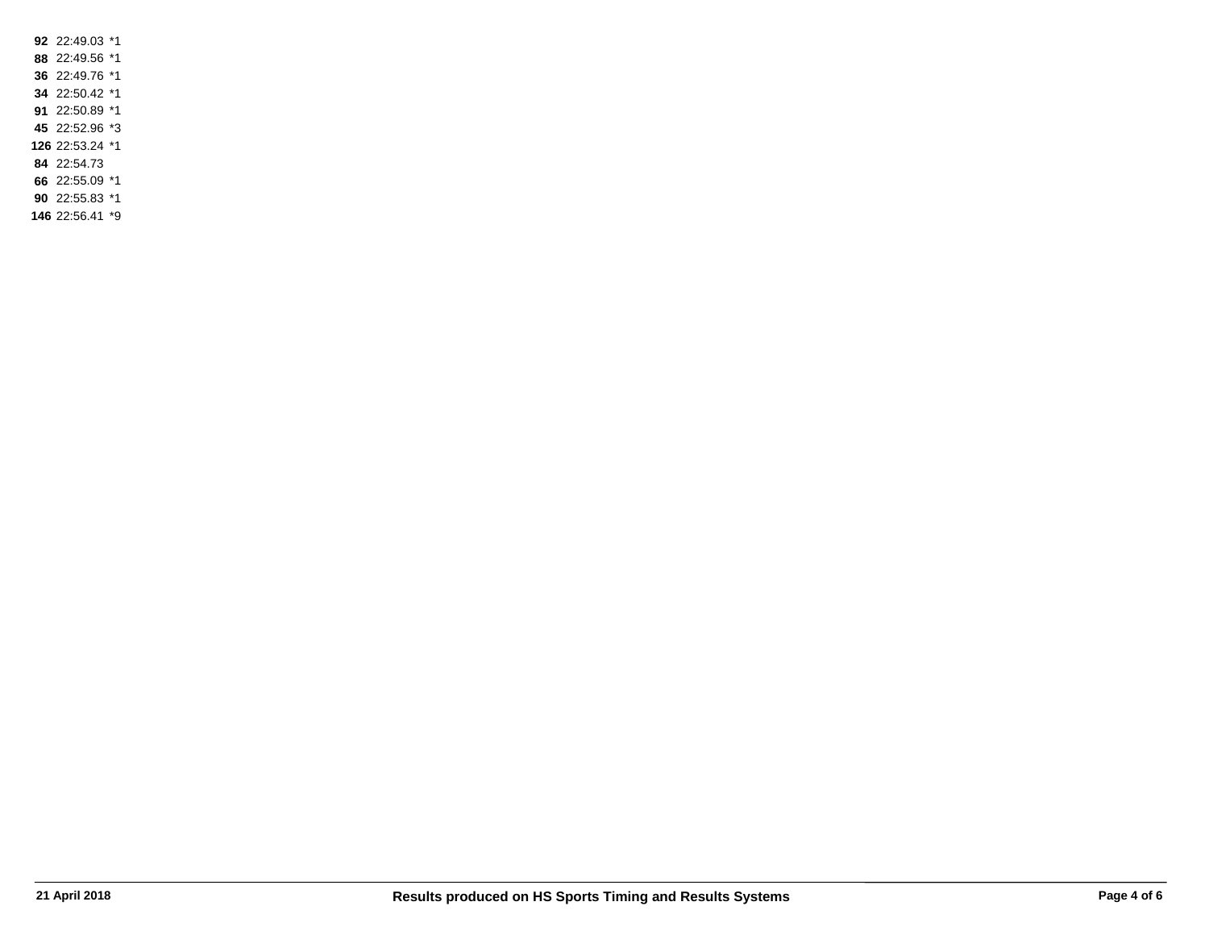22:49.03 \*1 22:49.56 \*1 22:49.76 \*1 22:50.42 \*1 22:50.89 \*1 22:52.96 \*3 22:53.24 \*1 22:54.73 22:55.09 \*1

 22:55.83 \*1 22:56.41 \*9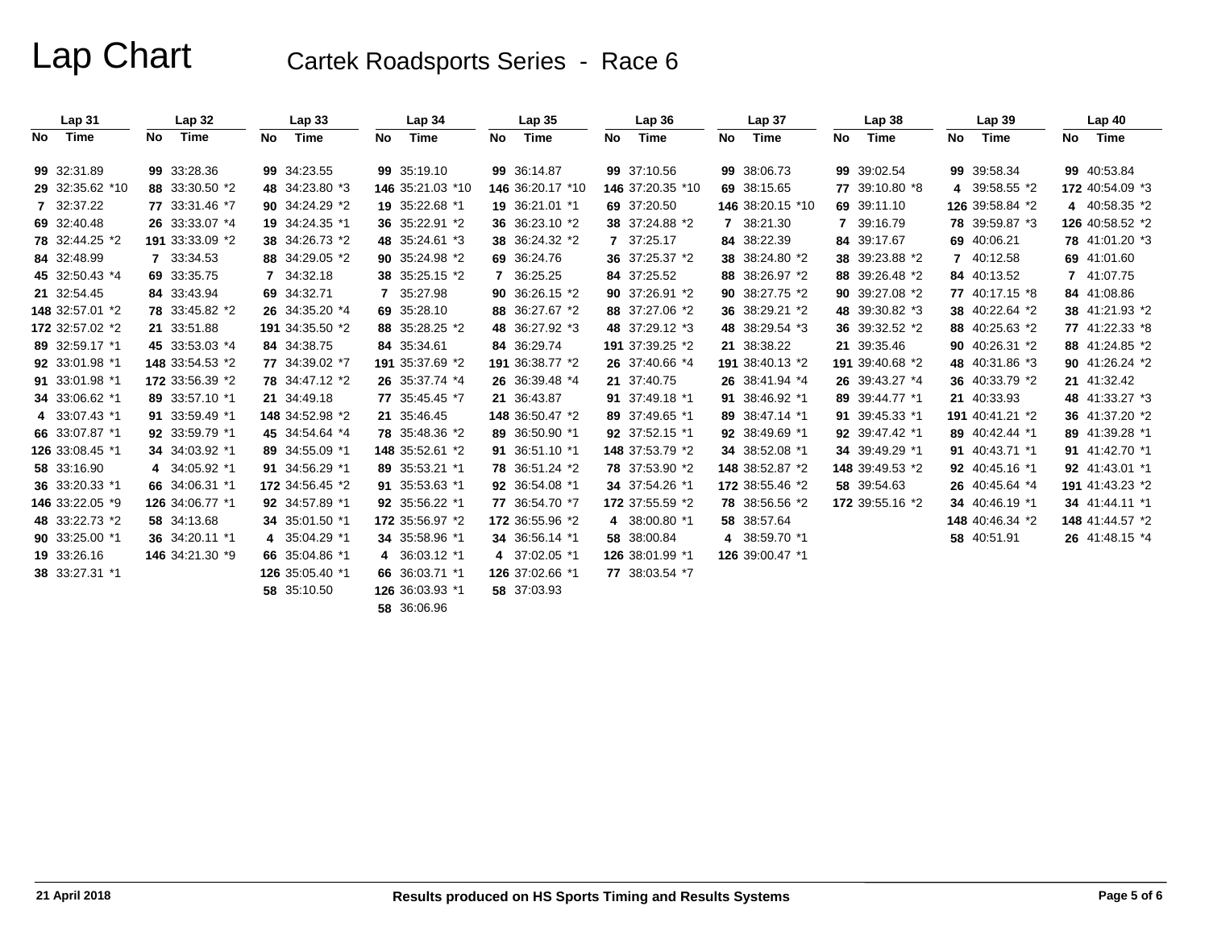|      | Lap31           |    | Lap <sub>32</sub> |              | Lap33           |    | Lap 34           |    | Lap <sub>35</sub> |    | Lap 36           |    | Lap 37           |    | Lap 38          |    | Lap39           |    | Lap40           |
|------|-----------------|----|-------------------|--------------|-----------------|----|------------------|----|-------------------|----|------------------|----|------------------|----|-----------------|----|-----------------|----|-----------------|
| No l | Time            | No | Time              | No.          | Time            | No | Time             | No | Time              | No | Time             | No | Time             | No | Time            | No | Time            | No | Time            |
|      | 99 32:31.89     |    | 99 33:28.36       |              | 99 34:23.55     |    | 99 35:19.10      |    | 99 36:14.87       |    | 99 37:10.56      |    | 99 38:06.73      |    | 99 39:02.54     |    | 99 39:58.34     |    | 99 40:53.84     |
|      | 29 32:35.62 *10 |    | 88 33:30.50 *2    |              | 48 34:23.80 *3  |    | 146 35:21.03 *10 |    | 146 36:20.17 *10  |    | 146 37:20.35 *10 |    | 69 38:15.65      |    | 77 39:10.80 *8  | 4  | 39:58.55 *2     |    | 172 40:54.09 *3 |
|      | 7 32:37.22      |    | 77 33:31.46 *7    |              | 90 34:24.29 *2  |    | 19 35:22.68 *1   |    | 19 36:21.01 *1    |    | 69 37:20.50      |    | 146 38:20.15 *10 |    | 69 39:11.10     |    | 126 39:58.84 *2 |    | 4 40:58.35 *2   |
|      | 69 32:40.48     |    | 26 33:33.07 *4    |              | 19 34:24.35 *1  |    | 36 35:22.91 *2   |    | 36 36:23.10 *2    |    | 38 37:24.88 *2   |    | 7 38:21.30       |    | 7 39:16.79      |    | 78 39:59.87 *3  |    | 126 40:58.52 *2 |
|      | 78 32:44.25 *2  |    | 191 33:33.09 *2   |              | 38 34:26.73 *2  |    | 48 35:24.61 *3   |    | 38 36:24.32 *2    |    | 7 37:25.17       |    | 84 38:22.39      |    | 84 39:17.67     | 69 | 40:06.21        |    | 78 41:01.20 *3  |
|      | 84 32:48.99     |    | 7 33:34.53        |              | 88 34:29.05 *2  |    | 90 35:24.98 *2   |    | 69 36:24.76       |    | 36 37:25.37 *2   |    | 38 38:24.80 *2   |    | 38 39:23.88 *2  | 7  | 40:12.58        |    | 69 41:01.60     |
|      | 45 32:50.43 *4  |    | 69 33:35.75       | $\mathbf{7}$ | 34:32.18        |    | 38 35:25.15 *2   |    | 7 36:25.25        |    | 84 37:25.52      |    | 88 38:26.97 *2   |    | 88 39:26.48 *2  |    | 84 40:13.52     |    | 7 41:07.75      |
|      | 21 32:54.45     |    | 84 33:43.94       |              | 69 34:32.71     | 7  | 35:27.98         |    | 90 36:26.15 *2    |    | 90 37:26.91 *2   |    | 90 38:27.75 *2   |    | 90 39:27.08 *2  |    | 77 40:17.15 *8  |    | 84 41:08.86     |
|      | 148 32:57.01 *2 |    | 78 33:45.82 *2    |              | 26 34:35.20 *4  |    | 69 35:28.10      |    | 88 36:27.67 *2    |    | 88 37:27.06 *2   |    | 36 38:29.21 *2   |    | 48 39:30.82 *3  |    | 38 40:22.64 *2  |    | 38 41:21.93 *2  |
|      | 172 32:57.02 *2 |    | 21 33:51.88       |              | 191 34:35.50 *2 |    | 88 35:28.25 *2   |    | 48 36:27.92 *3    |    | 48 37:29.12 *3   |    | 48 38:29.54 *3   |    | 36 39:32.52 *2  |    | 88 40:25.63 *2  |    | 77 41:22.33 *8  |
|      | 89 32:59.17 *1  |    | 45 33:53.03 *4    |              | 84 34:38.75     |    | 84 35:34.61      |    | 84 36:29.74       |    | 191 37:39.25 *2  |    | 21 38:38.22      |    | 21 39:35.46     |    | 90 40:26.31 *2  |    | 88 41:24.85 *2  |
|      | 92 33:01.98 *1  |    | 148 33:54.53 *2   |              | 77 34:39.02 *7  |    | 191 35:37.69 *2  |    | 191 36:38.77 *2   |    | 26 37:40.66 *4   |    | 191 38:40.13 *2  |    | 191 39:40.68 *2 |    | 48 40:31.86 *3  |    | 90 41:26.24 *2  |
|      | 91 33:01.98 *1  |    | 172 33:56.39 *2   |              | 78 34:47.12 *2  |    | 26 35:37.74 *4   |    | 26 36:39.48 *4    |    | 21 37:40.75      |    | 26 38:41.94 *4   |    | 26 39:43.27 *4  |    | 36 40:33.79 *2  |    | 21 41:32.42     |
|      | 34 33:06.62 *1  |    | 89 33:57.10 *1    |              | 21 34:49.18     |    | 77 35:45.45 *7   |    | 21 36:43.87       |    | 91 37:49.18 *1   |    | 91 38:46.92 *1   |    | 89 39:44.77 *1  |    | 21 40:33.93     |    | 48 41:33.27 *3  |
|      | 4 33:07.43 *1   |    | 91 33:59.49 *1    |              | 148 34:52.98 *2 |    | 21 35:46.45      |    | 148 36:50.47 *2   |    | 89 37:49.65 *1   |    | 89 38:47.14 *1   |    | 91 39:45.33 *1  |    | 191 40:41.21 *2 |    | 36 41:37.20 *2  |
|      | 66 33:07.87 *1  |    | 92 33:59.79 *1    |              | 45 34:54.64 *4  |    | 78 35:48.36 *2   |    | 89 36:50.90 *1    |    | 92 37:52.15 *1   |    | 92 38:49.69 *1   |    | 92 39:47.42 *1  |    | 89 40:42.44 *1  |    | 89 41:39.28 *1  |
|      | 126 33:08.45 *1 |    | 34 34:03.92 *1    |              | 89 34:55.09 *1  |    | 148 35:52.61 *2  |    | 91 36:51.10 *1    |    | 148 37:53.79 *2  |    | 34 38:52.08 *1   |    | 34 39:49.29 *1  |    | 91 40:43.71 *1  |    | 91 41:42.70 *1  |
|      | 58 33:16.90     |    | 4 34:05.92 *1     |              | 91 34:56.29 *1  |    | 89 35:53.21 *1   |    | 78 36:51.24 *2    |    | 78 37:53.90 *2   |    | 148 38:52.87 *2  |    | 148 39:49.53 *2 |    | 92 40:45.16 *1  |    | 92 41:43.01 *1  |
|      | 36 33:20.33 *1  |    | 66 34:06.31 *1    |              | 172 34:56.45 *2 |    | 91 35:53.63 *1   |    | 92 36:54.08 *1    |    | 34 37:54.26 *1   |    | 172 38:55.46 *2  |    | 58 39:54.63     |    | 26 40:45.64 *4  |    | 191 41:43.23 *2 |
|      | 146 33:22.05 *9 |    | 126 34:06.77 *1   |              | 92 34:57.89 *1  |    | 92 35:56.22 *1   |    | 77 36:54.70 *7    |    | 172 37:55.59 *2  |    | 78 38:56.56 *2   |    | 172 39:55.16 *2 |    | 34 40:46.19 *1  |    | 34 41:44.11 *1  |
|      | 48 33:22.73 *2  |    | 58 34:13.68       |              | 34 35:01.50 *1  |    | 172 35:56.97 *2  |    | 172 36:55.96 *2   |    | 4 38:00.80 *1    |    | 58 38:57.64      |    |                 |    | 148 40:46.34 *2 |    | 148 41:44.57 *2 |
|      | 90 33:25.00 *1  |    | 36 34:20.11 *1    |              | 4 35:04.29 *1   |    | 34 35:58.96 *1   |    | 34 36:56.14 *1    |    | 58 38:00.84      |    | 4 38:59.70 *1    |    |                 |    | 58 40:51.91     |    | 26 41:48.15 *4  |
|      | 19 33:26.16     |    | 146 34:21.30 *9   |              | 66 35:04.86 *1  |    | 4 36:03.12 *1    |    | 4 37:02.05 *1     |    | 126 38:01.99 *1  |    | 126 39:00.47 *1  |    |                 |    |                 |    |                 |
|      | 38 33:27.31 *1  |    |                   |              | 126 35:05.40 *1 |    | 66 36:03.71 *1   |    | 126 37:02.66 *1   |    | 77 38:03.54 *7   |    |                  |    |                 |    |                 |    |                 |
|      |                 |    |                   |              | 58 35:10.50     |    | 126 36:03.93 *1  |    | 58 37:03.93       |    |                  |    |                  |    |                 |    |                 |    |                 |
|      |                 |    |                   |              |                 |    | 58 36:06.96      |    |                   |    |                  |    |                  |    |                 |    |                 |    |                 |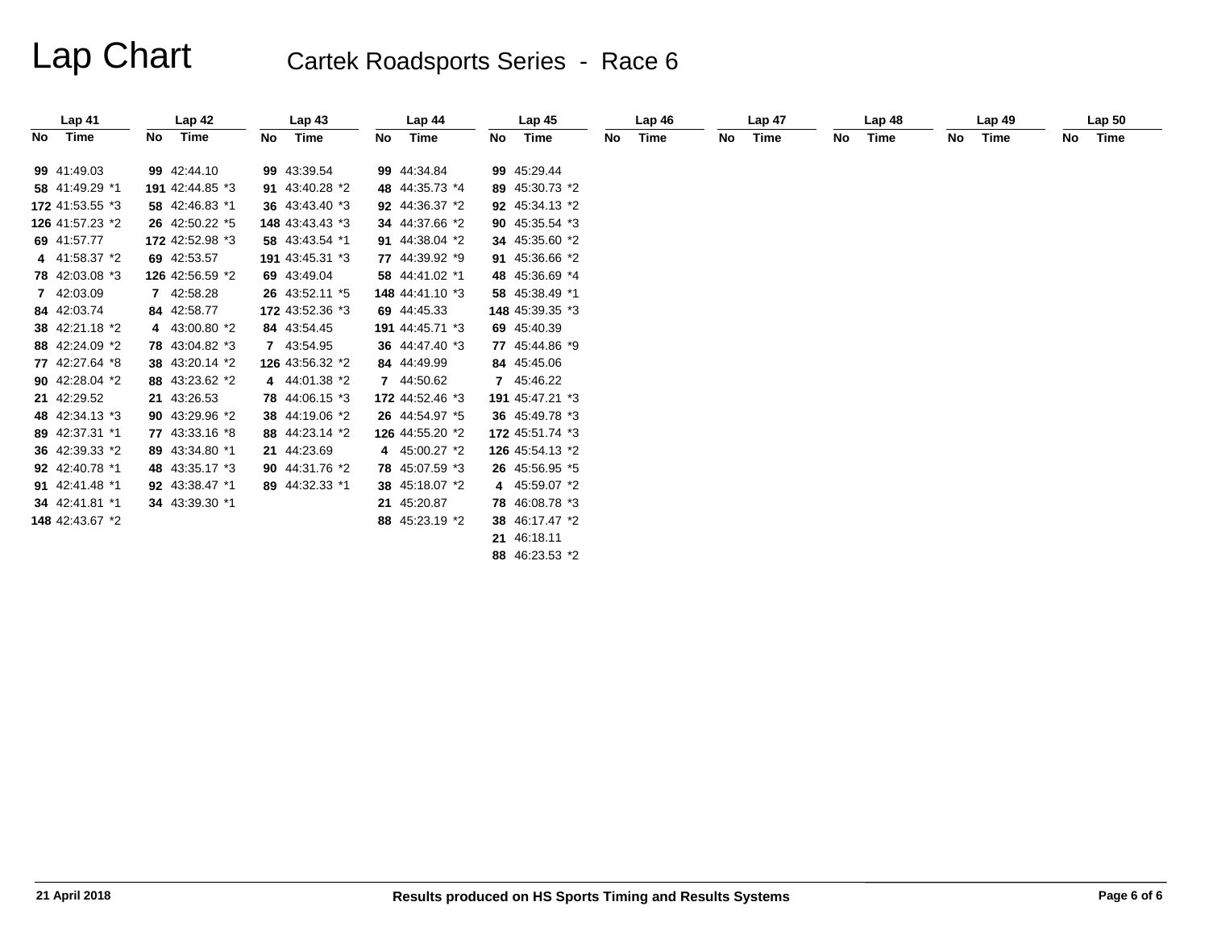|    | Lap <sub>41</sub> |    | Lap <sub>42</sub> |    | Lap43           |    | Lap <sub>44</sub> |    | Lap <sub>45</sub> |     | Lap46 |    | Lap <sub>47</sub> |     | Lap48 |     | Lap49 |     | Lap <sub>50</sub> |
|----|-------------------|----|-------------------|----|-----------------|----|-------------------|----|-------------------|-----|-------|----|-------------------|-----|-------|-----|-------|-----|-------------------|
| No | Time              | No | Time              | No | Time            | No | Time              | No | Time              | No. | Time  | No | Time              | No. | Time  | No. | Time  | No. | Time              |
|    | 99 41:49.03       |    | 99 42:44.10       |    | 99 43:39.54     |    | 99 44:34.84       |    | 99 45:29.44       |     |       |    |                   |     |       |     |       |     |                   |
|    | 58 41:49.29 *1    |    | 191 42:44.85 *3   |    | 91 43:40.28 *2  |    | 48 44:35.73 *4    |    | 89 45:30.73 *2    |     |       |    |                   |     |       |     |       |     |                   |
|    | 172 41:53.55 *3   |    | 58 42:46.83 *1    |    | 36 43:43.40 *3  |    | 92 44:36.37 *2    |    | 92 45:34.13 *2    |     |       |    |                   |     |       |     |       |     |                   |
|    | 126 41:57.23 *2   |    | 26 42:50.22 *5    |    | 148 43:43.43 *3 |    | 34 44:37.66 *2    |    | 90 45:35.54 *3    |     |       |    |                   |     |       |     |       |     |                   |
|    | 69 41:57.77       |    | 172 42:52.98 *3   |    | 58 43:43.54 *1  |    | 91 44:38.04 *2    |    | 34 45:35.60 *2    |     |       |    |                   |     |       |     |       |     |                   |
|    | 4 41:58.37 *2     |    | 69 42:53.57       |    | 191 43:45.31 *3 |    | 77 44:39.92 *9    |    | 91 45:36.66 *2    |     |       |    |                   |     |       |     |       |     |                   |
|    | 78 42:03.08 *3    |    | 126 42:56.59 *2   |    | 69 43:49.04     |    | 58 44:41.02 *1    |    | 48 45:36.69 *4    |     |       |    |                   |     |       |     |       |     |                   |
|    | 7 42:03.09        |    | 7 42:58.28        |    | 26 43:52.11 *5  |    | 148 44:41.10 *3   |    | 58 45:38.49 *1    |     |       |    |                   |     |       |     |       |     |                   |
|    | 84 42:03.74       |    | 84 42:58.77       |    | 172 43:52.36 *3 |    | 69 44:45.33       |    | 148 45:39.35 *3   |     |       |    |                   |     |       |     |       |     |                   |
|    | 38 42:21.18 *2    |    | 4 43:00.80 *2     |    | 84 43:54.45     |    | 191 44:45.71 *3   |    | 69 45:40.39       |     |       |    |                   |     |       |     |       |     |                   |
|    | 88 42:24.09 *2    |    | 78 43:04.82 *3    |    | 7 43:54.95      |    | 36 44:47.40 *3    |    | 77 45:44.86 *9    |     |       |    |                   |     |       |     |       |     |                   |
|    | 77 42:27.64 *8    |    | 38 43:20.14 *2    |    | 126 43:56.32 *2 |    | 84 44:49.99       |    | 84 45:45.06       |     |       |    |                   |     |       |     |       |     |                   |
|    | 90 42:28.04 *2    |    | 88 43:23.62 *2    |    | 4 44:01.38 *2   |    | 7 44:50.62        |    | 7 45:46.22        |     |       |    |                   |     |       |     |       |     |                   |
|    | 21 42:29.52       |    | 21 43:26.53       |    | 78 44:06.15 *3  |    | 172 44:52.46 *3   |    | 191 45:47.21 *3   |     |       |    |                   |     |       |     |       |     |                   |
|    | 48 42:34.13 *3    |    | 90 43:29.96 *2    |    | 38 44:19.06 *2  |    | 26 44:54.97 *5    |    | 36 45:49.78 *3    |     |       |    |                   |     |       |     |       |     |                   |
|    | 89 42:37.31 *1    |    | 77 43:33.16 *8    |    | 88 44:23.14 *2  |    | 126 44:55.20 *2   |    | 172 45:51.74 *3   |     |       |    |                   |     |       |     |       |     |                   |
|    | 36 42:39.33 *2    |    | 89 43:34.80 *1    |    | 21 44:23.69     |    | 4 45:00.27 *2     |    | 126 45:54.13 *2   |     |       |    |                   |     |       |     |       |     |                   |
|    | 92 42:40.78 *1    |    | 48 43:35.17 *3    |    | 90 44:31.76 *2  |    | 78 45:07.59 *3    |    | 26 45:56.95 *5    |     |       |    |                   |     |       |     |       |     |                   |
|    | 91 42:41.48 *1    |    | 92 43:38.47 *1    |    | 89 44:32.33 *1  |    | 38 45:18.07 *2    |    | 4 45:59.07 *2     |     |       |    |                   |     |       |     |       |     |                   |
|    | 34 42:41.81 *1    |    | 34 43:39.30 *1    |    |                 |    | 21 45:20.87       |    | 78 46:08.78 *3    |     |       |    |                   |     |       |     |       |     |                   |
|    | 148 42:43.67 *2   |    |                   |    |                 |    | 88 45:23.19 *2    |    | 38 46:17.47 *2    |     |       |    |                   |     |       |     |       |     |                   |
|    |                   |    |                   |    |                 |    |                   |    | 21 46:18.11       |     |       |    |                   |     |       |     |       |     |                   |
|    |                   |    |                   |    |                 |    |                   |    | 88 46:23.53 *2    |     |       |    |                   |     |       |     |       |     |                   |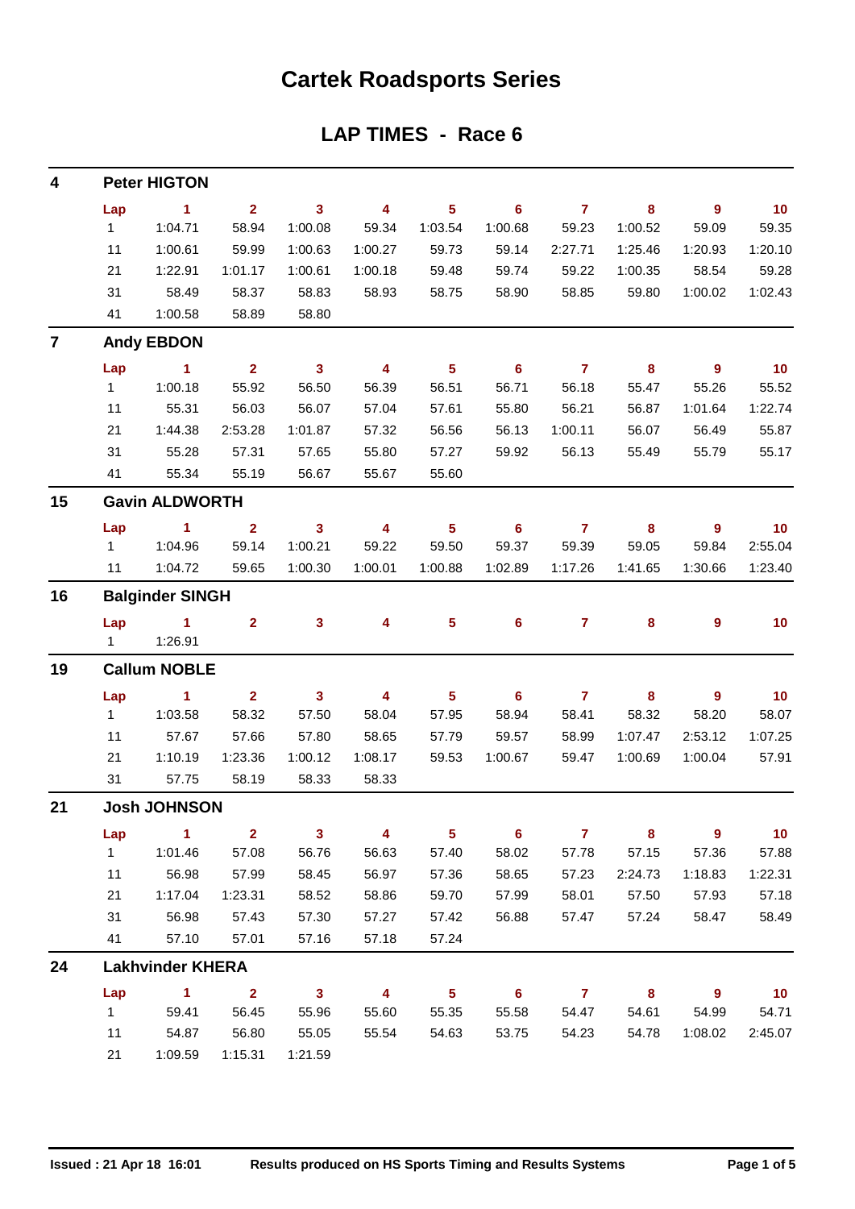### **Cartek Roadsports Series**

### **LAP TIMES - Race 6**

| 4                       |              | <b>Peter HIGTON</b>     |                |                |                         |                         |                            |                         |                         |                          |         |
|-------------------------|--------------|-------------------------|----------------|----------------|-------------------------|-------------------------|----------------------------|-------------------------|-------------------------|--------------------------|---------|
|                         | Lap          | $\blacktriangleleft$    | $\overline{2}$ | $\mathbf{3}$   | 4                       | $5\phantom{a}$          | 6                          | $\overline{7}$          | 8                       | 9                        | 10      |
|                         | $\mathbf 1$  | 1:04.71                 | 58.94          | 1:00.08        | 59.34                   | 1:03.54                 | 1:00.68                    | 59.23                   | 1:00.52                 | 59.09                    | 59.35   |
|                         | 11           | 1:00.61                 | 59.99          | 1:00.63        | 1:00.27                 | 59.73                   | 59.14                      | 2:27.71                 | 1:25.46                 | 1:20.93                  | 1:20.10 |
|                         | 21           | 1:22.91                 | 1:01.17        | 1:00.61        | 1:00.18                 | 59.48                   | 59.74                      | 59.22                   | 1:00.35                 | 58.54                    | 59.28   |
|                         | 31           | 58.49                   | 58.37          | 58.83          | 58.93                   | 58.75                   | 58.90                      | 58.85                   | 59.80                   | 1:00.02                  | 1:02.43 |
|                         | 41           | 1:00.58                 | 58.89          | 58.80          |                         |                         |                            |                         |                         |                          |         |
| $\overline{\mathbf{z}}$ |              | <b>Andy EBDON</b>       |                |                |                         |                         |                            |                         |                         |                          |         |
|                         | Lap          | $\mathbf{1}$            | $\overline{2}$ | $\mathbf{3}$   | $\overline{\mathbf{4}}$ | $\overline{\mathbf{5}}$ | 6                          | $\overline{7}$          | 8                       | 9                        | 10      |
|                         | $\mathbf{1}$ | 1:00.18                 | 55.92          | 56.50          | 56.39                   | 56.51                   | 56.71                      | 56.18                   | 55.47                   | 55.26                    | 55.52   |
|                         | 11           | 55.31                   | 56.03          | 56.07          | 57.04                   | 57.61                   | 55.80                      | 56.21                   | 56.87                   | 1:01.64                  | 1:22.74 |
|                         | 21           | 1:44.38                 | 2:53.28        | 1:01.87        | 57.32                   | 56.56                   | 56.13                      | 1:00.11                 | 56.07                   | 56.49                    | 55.87   |
|                         | 31           | 55.28                   | 57.31          | 57.65          | 55.80                   | 57.27                   | 59.92                      | 56.13                   | 55.49                   | 55.79                    | 55.17   |
|                         | 41           | 55.34                   | 55.19          | 56.67          | 55.67                   | 55.60                   |                            |                         |                         |                          |         |
| 15                      |              | <b>Gavin ALDWORTH</b>   |                |                |                         |                         |                            |                         |                         |                          |         |
|                         | Lap          | $\blacktriangleleft$    | $\overline{2}$ | $\mathbf{3}$   | 4                       | $5\phantom{a}$          | 6                          | $\mathbf{7}$            | 8                       | 9                        | 10      |
|                         | 1            | 1:04.96                 | 59.14          | 1:00.21        | 59.22                   | 59.50                   | 59.37                      | 59.39                   | 59.05                   | 59.84                    | 2:55.04 |
|                         | 11           | 1:04.72                 | 59.65          | 1:00.30        | 1:00.01                 | 1:00.88                 | 1:02.89                    | 1:17.26                 | 1:41.65                 | 1:30.66                  | 1:23.40 |
| 16                      |              | <b>Balginder SINGH</b>  |                |                |                         |                         |                            |                         |                         |                          |         |
|                         | Lap          | $\mathbf{1}$            | $\mathbf{2}$   | 3              | 4                       | 5                       | 6                          | $\mathbf{7}$            | 8                       | 9                        | 10      |
|                         | 1            | 1:26.91                 |                |                |                         |                         |                            |                         |                         |                          |         |
| 19                      |              | <b>Callum NOBLE</b>     |                |                |                         |                         |                            |                         |                         |                          |         |
|                         | Lap          | 1.                      | $\mathbf{2}$   | $\mathbf{3}$   | 4                       | $5\phantom{a}$          | 6                          | $\overline{\mathbf{7}}$ | 8                       | 9                        | 10      |
|                         | $\mathbf{1}$ | 1:03.58                 | 58.32          | 57.50          | 58.04                   | 57.95                   | 58.94                      | 58.41                   | 58.32                   | 58.20                    | 58.07   |
|                         | 11           | 57.67                   | 57.66          | 57.80          | 58.65                   | 57.79                   | 59.57                      | 58.99                   | 1:07.47                 | 2:53.12                  | 1:07.25 |
|                         | 21           | 1:10.19                 | 1:23.36        | 1:00.12        | 1:08.17                 | 59.53                   | 1:00.67                    | 59.47                   | 1:00.69                 | 1:00.04                  | 57.91   |
|                         | 31           | 57.75                   | 58.19          | 58.33          | 58.33                   |                         |                            |                         |                         |                          |         |
| 21                      |              | <b>Josh JOHNSON</b>     |                |                |                         |                         |                            |                         |                         |                          |         |
|                         | Lap          | $\blacktriangleleft$    | $\mathbf{2}$   | $\mathbf{3}$   | 4                       | $5\phantom{.0}$         | $6\phantom{1}$             | $\overline{7}$          | 8                       | $\overline{9}$           | 10      |
|                         | 1            | 1:01.46                 | 57.08          | 56.76          | 56.63                   | 57.40                   | 58.02                      | 57.78                   | 57.15                   | 57.36                    | 57.88   |
|                         | 11           | 56.98                   | 57.99          | 58.45          | 56.97                   | 57.36                   | 58.65                      | 57.23                   | 2:24.73                 | 1:18.83                  | 1:22.31 |
|                         | 21           | 1:17.04                 | 1:23.31        | 58.52          | 58.86                   | 59.70                   | 57.99                      | 58.01                   | 57.50                   | 57.93                    | 57.18   |
|                         | 31           | 56.98                   | 57.43          | 57.30          | 57.27                   | 57.42                   | 56.88                      | 57.47                   | 57.24                   | 58.47                    | 58.49   |
|                         | 41           | 57.10                   | 57.01          | 57.16          | 57.18                   | 57.24                   |                            |                         |                         |                          |         |
| 24                      |              | <b>Lakhvinder KHERA</b> |                |                |                         |                         |                            |                         |                         |                          |         |
|                         | Lap          | $\blacktriangleleft$    | 2 <sup>1</sup> | 3 <sup>1</sup> | 4                       | 5 <sup>5</sup>          | $\overline{\phantom{a}}$ 6 | $\overline{7}$          | $\overline{\mathbf{8}}$ | $\overline{\phantom{a}}$ | 10      |
|                         | 1            | 59.41                   | 56.45          | 55.96          | 55.60                   | 55.35                   | 55.58                      | 54.47                   | 54.61                   | 54.99                    | 54.71   |
|                         | 11           | 54.87                   | 56.80          | 55.05          | 55.54                   | 54.63                   | 53.75                      | 54.23                   | 54.78                   | 1:08.02                  | 2:45.07 |
|                         | 21           | 1:09.59                 | 1:15.31        | 1:21.59        |                         |                         |                            |                         |                         |                          |         |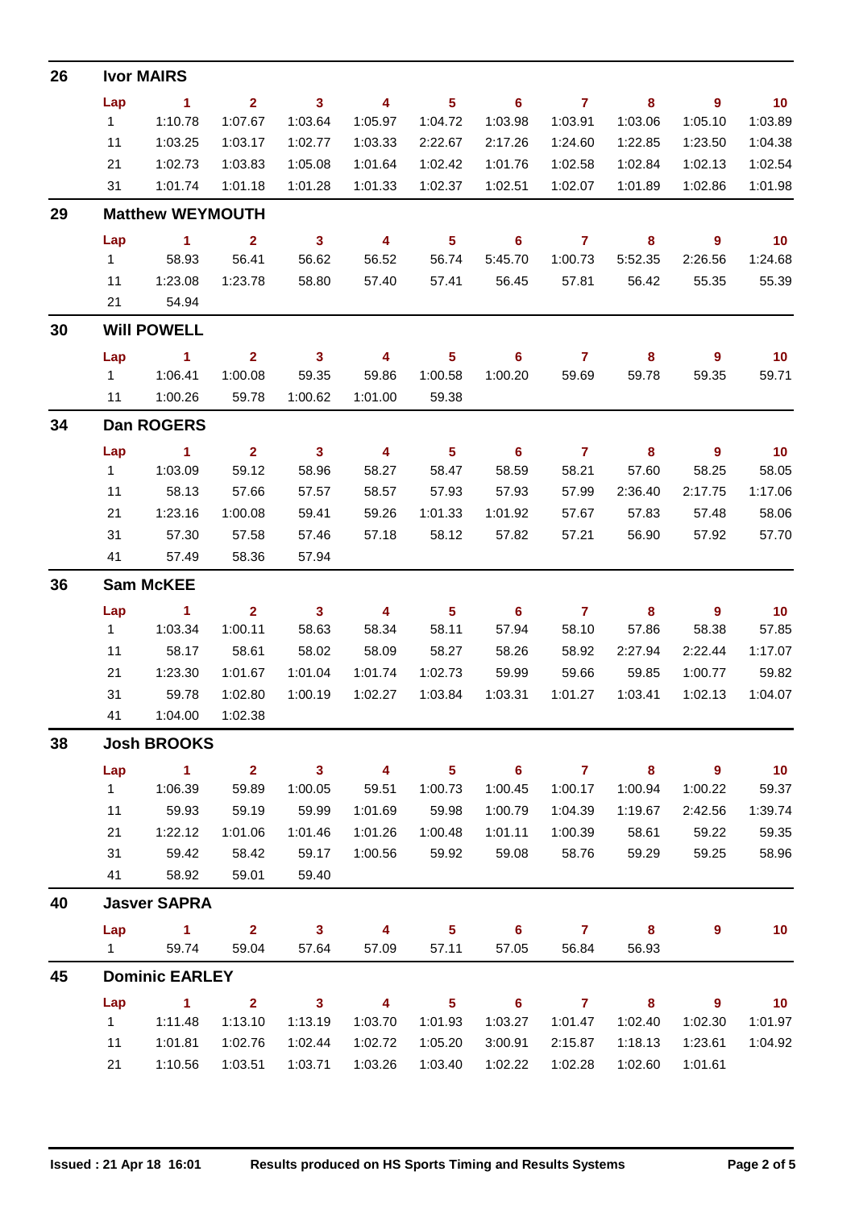| 26 |                | <b>Ivor MAIRS</b>       |                |                         |                         |                            |                            |                |                         |                |                 |
|----|----------------|-------------------------|----------------|-------------------------|-------------------------|----------------------------|----------------------------|----------------|-------------------------|----------------|-----------------|
|    | Lap            | $\sim$ 1                | $\mathbf{2}$   | $\overline{\mathbf{3}}$ | $\overline{\mathbf{4}}$ | 5 <sup>5</sup>             | $\overline{\phantom{0}}$ 6 | $\overline{7}$ | 8                       | 9              | 10              |
|    | 1              | 1:10.78                 | 1:07.67        | 1:03.64                 | 1:05.97                 | 1:04.72                    | 1:03.98                    | 1:03.91        | 1:03.06                 | 1:05.10        | 1:03.89         |
|    | 11             | 1:03.25                 | 1:03.17        | 1:02.77                 | 1:03.33                 | 2:22.67                    | 2:17.26                    | 1:24.60        | 1:22.85                 | 1:23.50        | 1:04.38         |
|    | 21             | 1:02.73                 | 1:03.83        | 1:05.08                 | 1:01.64                 | 1:02.42                    | 1:01.76                    | 1:02.58        | 1:02.84                 | 1:02.13        | 1:02.54         |
|    | 31             | 1:01.74                 | 1:01.18        | 1:01.28                 | 1:01.33                 | 1:02.37                    | 1:02.51                    | 1:02.07        | 1:01.89                 | 1:02.86        | 1:01.98         |
| 29 |                | <b>Matthew WEYMOUTH</b> |                |                         |                         |                            |                            |                |                         |                |                 |
|    | Lap            | $\sim$ 1                | $\overline{2}$ | $\mathbf{3}$            | $\overline{4}$          | $\overline{\phantom{0}}$ 5 | $\overline{\phantom{0}}$ 6 | $\mathbf{7}$   | 8                       | - 9            | $\overline{10}$ |
|    | $1 \quad$      | 58.93                   | 56.41          | 56.62                   | 56.52                   | 56.74                      | 5:45.70                    | 1:00.73        | 5:52.35                 | 2:26.56        | 1:24.68         |
|    | 11             | 1:23.08                 | 1:23.78        | 58.80                   | 57.40                   | 57.41                      | 56.45                      | 57.81          | 56.42                   | 55.35          | 55.39           |
|    | 21             | 54.94                   |                |                         |                         |                            |                            |                |                         |                |                 |
| 30 |                | <b>Will POWELL</b>      |                |                         |                         |                            |                            |                |                         |                |                 |
|    | Lap            | $\sim$ 1                | $\mathbf{2}$   | $\overline{\mathbf{3}}$ | $\overline{4}$          | 5 <sup>5</sup>             | 6                          | $\overline{7}$ | $\overline{\mathbf{8}}$ | - 9            | 10              |
|    | $1 \quad$      | 1:06.41                 | 1:00.08        | 59.35                   | 59.86                   | 1:00.58                    | 1:00.20                    | 59.69          | 59.78                   | 59.35          | 59.71           |
|    | 11             | 1:00.26                 | 59.78          | 1:00.62                 | 1:01.00                 | 59.38                      |                            |                |                         |                |                 |
| 34 |                | <b>Dan ROGERS</b>       |                |                         |                         |                            |                            |                |                         |                |                 |
|    | Lap            | $\sim$ 1                | 2 <sup>1</sup> | $\mathbf{3}$            | $\overline{\mathbf{4}}$ | $5\phantom{.0}$            | $6\overline{6}$            | $\overline{7}$ | 8                       | $\overline{9}$ | 10              |
|    | 1              | 1:03.09                 | 59.12          | 58.96                   | 58.27                   | 58.47                      | 58.59                      | 58.21          | 57.60                   | 58.25          | 58.05           |
|    | 11             | 58.13                   | 57.66          | 57.57                   | 58.57                   | 57.93                      | 57.93                      | 57.99          | 2:36.40                 | 2:17.75        | 1:17.06         |
|    | 21             | 1:23.16                 | 1:00.08        | 59.41                   | 59.26                   | 1:01.33                    | 1:01.92                    | 57.67          | 57.83                   | 57.48          | 58.06           |
|    | 31             | 57.30                   | 57.58          | 57.46                   | 57.18                   | 58.12                      | 57.82                      | 57.21          | 56.90                   | 57.92          | 57.70           |
|    | 41             | 57.49                   | 58.36          | 57.94                   |                         |                            |                            |                |                         |                |                 |
| 36 |                | <b>Sam McKEE</b>        |                |                         |                         |                            |                            |                |                         |                |                 |
|    | Lap            | $\sim$ 1                | $\overline{2}$ | $\mathbf{3}$            | $\overline{4}$          | $5\phantom{.0}$            | 6                          | $\overline{7}$ | 8                       | $\overline{9}$ | 10              |
|    |                | 1   1:03.34             | 1:00.11        | 58.63                   | 58.34                   | 58.11                      | 57.94                      | 58.10          | 57.86                   | 58.38          | 57.85           |
|    | 11             | 58.17                   | 58.61          | 58.02                   | 58.09                   | 58.27                      | 58.26                      | 58.92          | 2:27.94                 | 2:22.44        | 1:17.07         |
|    | 21             | 1:23.30                 | 1:01.67        | 1:01.04                 | 1:01.74                 | 1:02.73                    | 59.99                      | 59.66          | 59.85                   | 1:00.77        | 59.82           |
|    | 31             | 59.78                   | 1:02.80        | 1:00.19                 | 1:02.27                 | 1:03.84                    | 1:03.31                    | 1:01.27        | 1:03.41                 | 1:02.13        | 1:04.07         |
|    | 41             | 1:04.00                 | 1:02.38        |                         |                         |                            |                            |                |                         |                |                 |
| 38 |                | <b>Josh BROOKS</b>      |                |                         |                         |                            |                            |                |                         |                |                 |
|    | Lap            | $\blacksquare$ 1        | $\overline{2}$ | $\mathbf{3}$            | $\overline{\mathbf{4}}$ | 5 <sup>5</sup>             | $\overline{\phantom{0}}$ 6 | $\overline{7}$ | $\overline{\mathbf{8}}$ | 9              | 10              |
|    | $\mathbf{1}$   | 1:06.39                 | 59.89          | 1:00.05                 | 59.51                   | 1:00.73                    | 1:00.45                    | 1:00.17        | 1:00.94                 | 1:00.22        | 59.37           |
|    | 11             | 59.93                   | 59.19          | 59.99                   | 1:01.69                 | 59.98                      | 1:00.79                    | 1:04.39        | 1:19.67                 | 2:42.56        | 1:39.74         |
|    | 21             | 1:22.12                 | 1:01.06        | 1:01.46                 | 1:01.26                 | 1:00.48                    | 1:01.11                    | 1:00.39        | 58.61                   | 59.22          | 59.35           |
|    | 31             | 59.42                   | 58.42          | 59.17                   | 1:00.56                 | 59.92                      | 59.08                      | 58.76          | 59.29                   | 59.25          | 58.96           |
|    | 41             | 58.92                   | 59.01          | 59.40                   |                         |                            |                            |                |                         |                |                 |
| 40 |                | <b>Jasver SAPRA</b>     |                |                         |                         |                            |                            |                |                         |                |                 |
|    | Lap            | $\sim$ 1                | $\overline{2}$ | $\mathbf{3}$            | 4                       | 5 <sub>5</sub>             | $6\phantom{1}$             | $\mathbf{7}$   | 8                       | 9              | 10              |
|    | $1 \quad \Box$ | 59.74                   | 59.04          | 57.64                   | 57.09                   | 57.11                      | 57.05                      | 56.84          | 56.93                   |                |                 |
| 45 |                | <b>Dominic EARLEY</b>   |                |                         |                         |                            |                            |                |                         |                |                 |
|    | Lap            | $\sim$ 1                | $\overline{2}$ | $\mathbf{3}$            | $\overline{4}$          | 5                          | 6                          | $\overline{7}$ | 8                       | 9              | 10              |
|    | 1              | 1:11.48                 | 1:13.10        | 1:13.19                 | 1:03.70                 | 1:01.93                    | 1:03.27                    | 1:01.47        | 1:02.40                 | 1:02.30        | 1:01.97         |
|    | 11             | 1:01.81                 | 1:02.76        | 1:02.44                 | 1:02.72                 | 1:05.20                    | 3:00.91                    | 2:15.87        | 1:18.13                 | 1:23.61        | 1:04.92         |
|    | 21             | 1:10.56                 | 1:03.51        | 1:03.71                 | 1:03.26                 | 1:03.40                    | 1:02.22                    | 1:02.28        | 1:02.60                 | 1:01.61        |                 |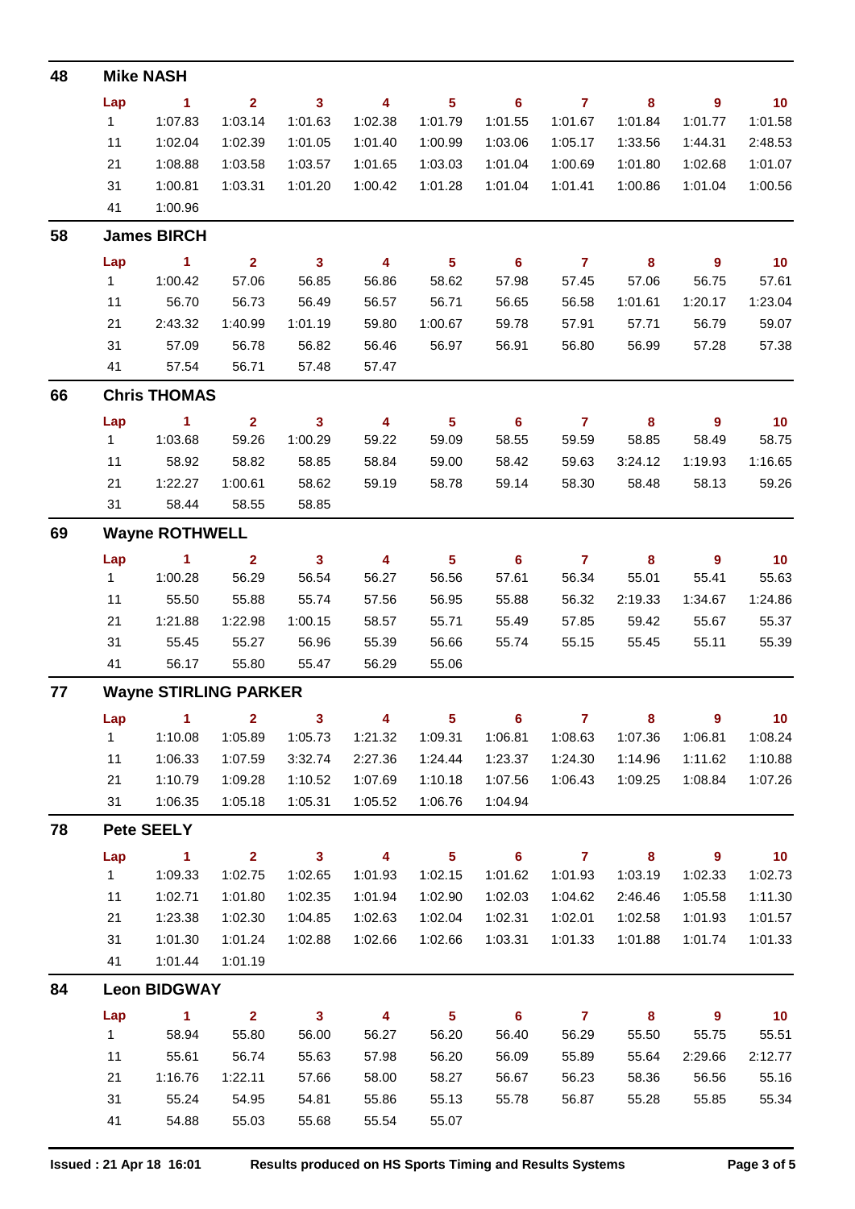| 48 |              | <b>Mike NASH</b>             |                         |                         |                         |                 |                            |                |                            |                          |         |
|----|--------------|------------------------------|-------------------------|-------------------------|-------------------------|-----------------|----------------------------|----------------|----------------------------|--------------------------|---------|
|    | Lap          | 1                            | $\mathbf{2}$            | $\overline{\mathbf{3}}$ | 4                       | $5\phantom{a}$  | 6                          | $\overline{7}$ | 8                          | 9                        | 10      |
|    | $\mathbf{1}$ | 1:07.83                      | 1:03.14                 | 1:01.63                 | 1:02.38                 | 1:01.79         | 1:01.55                    | 1:01.67        | 1:01.84                    | 1:01.77                  | 1:01.58 |
|    | 11           | 1:02.04                      | 1:02.39                 | 1:01.05                 | 1:01.40                 | 1:00.99         | 1:03.06                    | 1:05.17        | 1:33.56                    | 1:44.31                  | 2:48.53 |
|    | 21           | 1:08.88                      | 1:03.58                 | 1:03.57                 | 1:01.65                 | 1:03.03         | 1:01.04                    | 1:00.69        | 1:01.80                    | 1:02.68                  | 1:01.07 |
|    | 31           | 1:00.81                      | 1:03.31                 | 1:01.20                 | 1:00.42                 | 1:01.28         | 1:01.04                    | 1:01.41        | 1:00.86                    | 1:01.04                  | 1:00.56 |
|    | 41           | 1:00.96                      |                         |                         |                         |                 |                            |                |                            |                          |         |
| 58 |              | <b>James BIRCH</b>           |                         |                         |                         |                 |                            |                |                            |                          |         |
|    | Lap          | 1                            | $\overline{2}$          | $\overline{\mathbf{3}}$ | 4                       | $5\phantom{a}$  | $6\phantom{1}$             | $\overline{7}$ | $\boldsymbol{8}$           | $\overline{9}$           | 10      |
|    | $\mathbf{1}$ | 1:00.42                      | 57.06                   | 56.85                   | 56.86                   | 58.62           | 57.98                      | 57.45          | 57.06                      | 56.75                    | 57.61   |
|    | 11           | 56.70                        | 56.73                   | 56.49                   | 56.57                   | 56.71           | 56.65                      | 56.58          | 1:01.61                    | 1:20.17                  | 1:23.04 |
|    | 21           | 2:43.32                      | 1:40.99                 | 1:01.19                 | 59.80                   | 1:00.67         | 59.78                      | 57.91          | 57.71                      | 56.79                    | 59.07   |
|    | 31           | 57.09                        | 56.78                   | 56.82                   | 56.46                   | 56.97           | 56.91                      | 56.80          | 56.99                      | 57.28                    | 57.38   |
|    | 41           | 57.54                        | 56.71                   | 57.48                   | 57.47                   |                 |                            |                |                            |                          |         |
| 66 |              | <b>Chris THOMAS</b>          |                         |                         |                         |                 |                            |                |                            |                          |         |
|    | Lap          | 1                            | $\overline{2}$          | 3                       | 4                       | $5\phantom{a}$  | $6\phantom{1}6$            | $\overline{7}$ | $\bf{8}$                   | 9                        | 10      |
|    | $\mathbf{1}$ | 1:03.68                      | 59.26                   | 1:00.29                 | 59.22                   | 59.09           | 58.55                      | 59.59          | 58.85                      | 58.49                    | 58.75   |
|    | 11           | 58.92                        | 58.82                   | 58.85                   | 58.84                   | 59.00           | 58.42                      | 59.63          | 3:24.12                    | 1:19.93                  | 1:16.65 |
|    | 21           | 1:22.27                      | 1:00.61                 | 58.62                   | 59.19                   | 58.78           | 59.14                      | 58.30          | 58.48                      | 58.13                    | 59.26   |
|    | 31           | 58.44                        | 58.55                   | 58.85                   |                         |                 |                            |                |                            |                          |         |
| 69 |              | <b>Wayne ROTHWELL</b>        |                         |                         |                         |                 |                            |                |                            |                          |         |
|    | Lap          | 1                            | $\overline{2}$          | $\overline{\mathbf{3}}$ | 4                       | $5\phantom{a}$  | 6                          | $\overline{7}$ | 8                          | 9                        | 10      |
|    | $\mathbf{1}$ | 1:00.28                      | 56.29                   | 56.54                   | 56.27                   | 56.56           | 57.61                      | 56.34          | 55.01                      | 55.41                    | 55.63   |
|    | 11           | 55.50                        | 55.88                   | 55.74                   | 57.56                   | 56.95           | 55.88                      | 56.32          | 2:19.33                    | 1:34.67                  | 1:24.86 |
|    | 21           | 1:21.88                      | 1:22.98                 | 1:00.15                 | 58.57                   | 55.71           | 55.49                      | 57.85          | 59.42                      | 55.67                    | 55.37   |
|    | 31           | 55.45                        | 55.27                   | 56.96                   | 55.39                   | 56.66           | 55.74                      | 55.15          | 55.45                      | 55.11                    | 55.39   |
|    | 41           | 56.17                        | 55.80                   | 55.47                   | 56.29                   | 55.06           |                            |                |                            |                          |         |
| 77 |              | <b>Wayne STIRLING PARKER</b> |                         |                         |                         |                 |                            |                |                            |                          |         |
|    | Lap          | $\sim$ 1                     | $\mathbf{2}$            | $\overline{\mathbf{3}}$ | $\overline{\mathbf{4}}$ | $5\phantom{1}$  | $\overline{\phantom{0}}$ 6 | $\overline{7}$ | 8                          | $\overline{\phantom{a}}$ | 10      |
|    | 1            | 1:10.08                      | 1:05.89                 | 1:05.73                 | 1:21.32                 | 1:09.31         | 1:06.81                    | 1:08.63        | 1:07.36                    | 1:06.81                  | 1:08.24 |
|    | 11           | 1:06.33                      | 1:07.59                 | 3:32.74                 | 2:27.36                 | 1:24.44         | 1:23.37                    | 1:24.30        | 1:14.96                    | 1:11.62                  | 1:10.88 |
|    | 21           | 1:10.79                      | 1:09.28                 | 1:10.52                 | 1:07.69                 | 1:10.18         | 1:07.56                    | 1:06.43        | 1:09.25                    | 1:08.84                  | 1:07.26 |
|    | 31           | 1:06.35                      | 1:05.18                 | 1:05.31                 | 1:05.52                 | 1:06.76         | 1:04.94                    |                |                            |                          |         |
| 78 |              | <b>Pete SEELY</b>            |                         |                         |                         |                 |                            |                |                            |                          |         |
|    | Lap          | $\sim$ 1                     | $\overline{\mathbf{2}}$ | $\overline{\mathbf{3}}$ | $\overline{\mathbf{4}}$ | $5\phantom{.0}$ | $\overline{\phantom{a}}$ 6 | $\overline{7}$ | $\overline{\phantom{a}}$ 8 | $\overline{\phantom{a}}$ | 10      |
|    | 1            | 1:09.33                      | 1:02.75                 | 1:02.65                 | 1:01.93                 | 1:02.15         | 1:01.62                    | 1:01.93        | 1:03.19                    | 1:02.33                  | 1:02.73 |
|    | 11           | 1:02.71                      | 1:01.80                 | 1:02.35                 | 1:01.94                 | 1:02.90         | 1:02.03                    | 1:04.62        | 2:46.46                    | 1:05.58                  | 1:11.30 |
|    | 21           | 1:23.38                      | 1:02.30                 | 1:04.85                 | 1:02.63                 | 1:02.04         | 1:02.31                    | 1:02.01        | 1:02.58                    | 1:01.93                  | 1:01.57 |
|    | 31           | 1:01.30                      | 1:01.24                 | 1:02.88                 | 1:02.66                 | 1:02.66         | 1:03.31                    | 1:01.33        | 1:01.88                    | 1:01.74                  | 1:01.33 |
|    | 41           | 1:01.44                      | 1:01.19                 |                         |                         |                 |                            |                |                            |                          |         |
| 84 |              | <b>Leon BIDGWAY</b>          |                         |                         |                         |                 |                            |                |                            |                          |         |
|    | Lap          | $\blacktriangleleft$         | $\mathbf{2}$            | $\mathbf{3}$            | 4                       | 5 <sup>5</sup>  | $6\phantom{1}$             | $\overline{7}$ | 8                          | $\overline{9}$           | 10      |
|    | 1            | 58.94                        | 55.80                   | 56.00                   | 56.27                   | 56.20           | 56.40                      | 56.29          | 55.50                      | 55.75                    | 55.51   |
|    | 11           | 55.61                        | 56.74                   | 55.63                   | 57.98                   | 56.20           | 56.09                      | 55.89          | 55.64                      | 2:29.66                  | 2:12.77 |
|    | 21           | 1:16.76                      | 1:22.11                 | 57.66                   | 58.00                   | 58.27           | 56.67                      | 56.23          | 58.36                      | 56.56                    | 55.16   |
|    | 31           | 55.24                        | 54.95                   | 54.81                   | 55.86                   | 55.13           | 55.78                      | 56.87          | 55.28                      | 55.85                    | 55.34   |
|    | 41           | 54.88                        | 55.03                   | 55.68                   | 55.54                   | 55.07           |                            |                |                            |                          |         |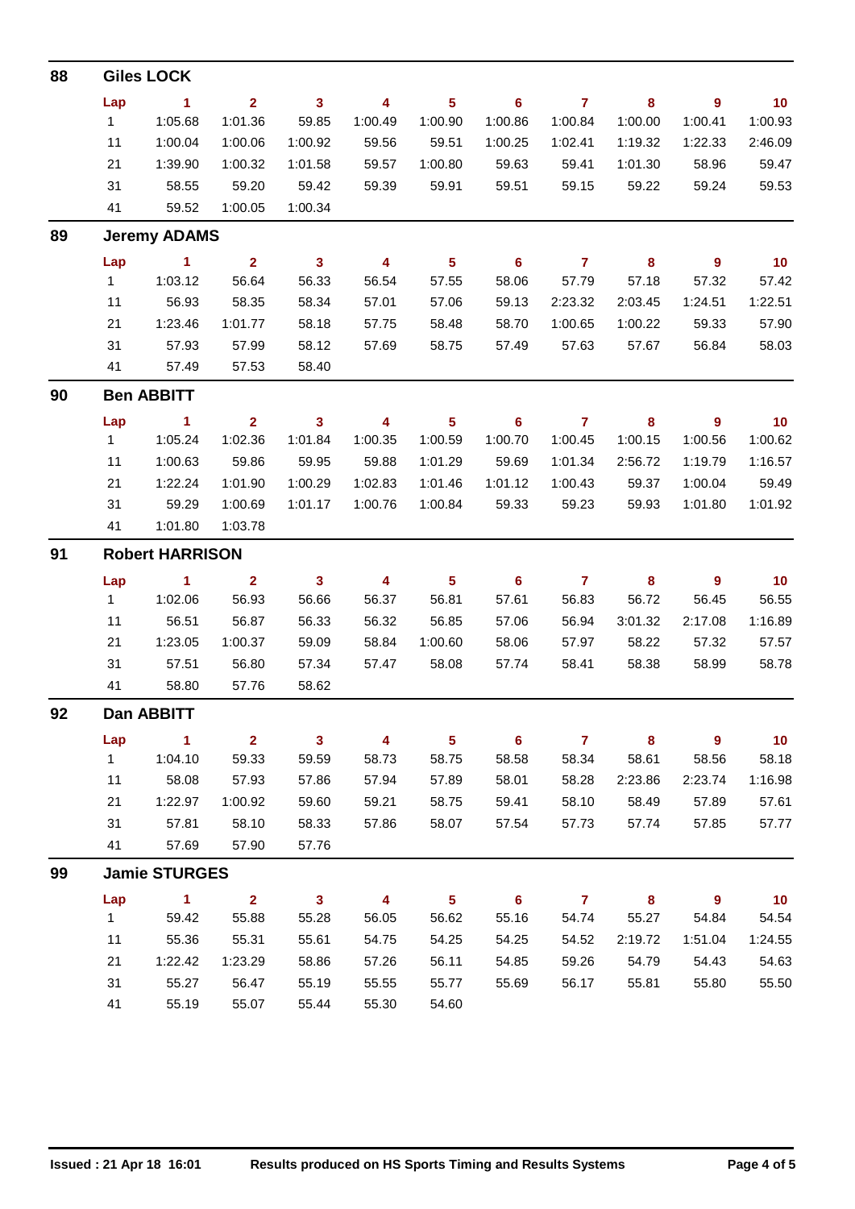| 88 |              | <b>Giles LOCK</b>      |                         |                         |                         |                 |                |                |          |                |         |
|----|--------------|------------------------|-------------------------|-------------------------|-------------------------|-----------------|----------------|----------------|----------|----------------|---------|
|    | Lap          | 1                      | $\overline{2}$          | $\mathbf{3}$            | 4                       | 5 <sup>5</sup>  | 6              | $\overline{7}$ | 8        | $\overline{9}$ | 10      |
|    | $\mathbf{1}$ | 1:05.68                | 1:01.36                 | 59.85                   | 1:00.49                 | 1:00.90         | 1:00.86        | 1:00.84        | 1:00.00  | 1:00.41        | 1:00.93 |
|    | 11           | 1:00.04                | 1:00.06                 | 1:00.92                 | 59.56                   | 59.51           | 1:00.25        | 1:02.41        | 1:19.32  | 1:22.33        | 2:46.09 |
|    | 21           | 1:39.90                | 1:00.32                 | 1:01.58                 | 59.57                   | 1:00.80         | 59.63          | 59.41          | 1:01.30  | 58.96          | 59.47   |
|    | 31           | 58.55                  | 59.20                   | 59.42                   | 59.39                   | 59.91           | 59.51          | 59.15          | 59.22    | 59.24          | 59.53   |
|    | 41           | 59.52                  | 1:00.05                 | 1:00.34                 |                         |                 |                |                |          |                |         |
| 89 |              | <b>Jeremy ADAMS</b>    |                         |                         |                         |                 |                |                |          |                |         |
|    | Lap          | $\blacktriangleleft$   | $\overline{2}$          | $\mathbf{3}$            | $\overline{\mathbf{4}}$ | $5\phantom{.0}$ | $6\phantom{1}$ | $\overline{7}$ | 8        | $\overline{9}$ | 10      |
|    | $\mathbf{1}$ | 1:03.12                | 56.64                   | 56.33                   | 56.54                   | 57.55           | 58.06          | 57.79          | 57.18    | 57.32          | 57.42   |
|    | 11           | 56.93                  | 58.35                   | 58.34                   | 57.01                   | 57.06           | 59.13          | 2:23.32        | 2:03.45  | 1:24.51        | 1:22.51 |
|    | 21           | 1:23.46                | 1:01.77                 | 58.18                   | 57.75                   | 58.48           | 58.70          | 1:00.65        | 1:00.22  | 59.33          | 57.90   |
|    | 31           | 57.93                  | 57.99                   | 58.12                   | 57.69                   | 58.75           | 57.49          | 57.63          | 57.67    | 56.84          | 58.03   |
|    | 41           | 57.49                  | 57.53                   | 58.40                   |                         |                 |                |                |          |                |         |
| 90 |              | <b>Ben ABBITT</b>      |                         |                         |                         |                 |                |                |          |                |         |
|    | Lap          | $\blacktriangleleft$   | $\overline{2}$          | 3                       | 4                       | $5\phantom{a}$  | 6              | $\overline{7}$ | 8        | $\overline{9}$ | 10      |
|    | 1            | 1:05.24                | 1:02.36                 | 1:01.84                 | 1:00.35                 | 1:00.59         | 1:00.70        | 1:00.45        | 1:00.15  | 1:00.56        | 1:00.62 |
|    | 11           | 1:00.63                | 59.86                   | 59.95                   | 59.88                   | 1:01.29         | 59.69          | 1:01.34        | 2:56.72  | 1:19.79        | 1:16.57 |
|    | 21           | 1:22.24                | 1:01.90                 | 1:00.29                 | 1:02.83                 | 1:01.46         | 1:01.12        | 1:00.43        | 59.37    | 1:00.04        | 59.49   |
|    | 31           | 59.29                  | 1:00.69                 | 1:01.17                 | 1:00.76                 | 1:00.84         | 59.33          | 59.23          | 59.93    | 1:01.80        | 1:01.92 |
|    | 41           | 1:01.80                | 1:03.78                 |                         |                         |                 |                |                |          |                |         |
| 91 |              | <b>Robert HARRISON</b> |                         |                         |                         |                 |                |                |          |                |         |
|    | Lap          | $\sim$ 1               | $\overline{2}$          | $\mathbf{3}$            | 4                       | $5\phantom{.0}$ | 6              | $\overline{7}$ | 8        | $\overline{9}$ | 10      |
|    | 1            | 1:02.06                | 56.93                   | 56.66                   | 56.37                   | 56.81           | 57.61          | 56.83          | 56.72    | 56.45          | 56.55   |
|    | 11           | 56.51                  | 56.87                   | 56.33                   | 56.32                   | 56.85           | 57.06          | 56.94          | 3:01.32  | 2:17.08        | 1:16.89 |
|    | 21           | 1:23.05                | 1:00.37                 | 59.09                   | 58.84                   | 1:00.60         | 58.06          | 57.97          | 58.22    | 57.32          | 57.57   |
|    | 31           | 57.51                  | 56.80                   | 57.34                   | 57.47                   | 58.08           | 57.74          | 58.41          | 58.38    | 58.99          | 58.78   |
|    | 41           | 58.80                  | 57.76                   | 58.62                   |                         |                 |                |                |          |                |         |
| 92 |              | Dan ABBITT             |                         |                         |                         |                 |                |                |          |                |         |
|    | Lap          | $\mathbf{1}$           | 2 <sup>1</sup>          | $\mathbf{3}$            | 4                       | 5 <sub>5</sub>  | $6\phantom{1}$ | $\mathbf{7}$   | $\bf{8}$ | $\overline{9}$ | 10      |
|    | 1            | 1:04.10                | 59.33                   | 59.59                   | 58.73                   | 58.75           | 58.58          | 58.34          | 58.61    | 58.56          | 58.18   |
|    | 11           | 58.08                  | 57.93                   | 57.86                   | 57.94                   | 57.89           | 58.01          | 58.28          | 2:23.86  | 2:23.74        | 1:16.98 |
|    | 21           | 1:22.97                | 1:00.92                 | 59.60                   | 59.21                   | 58.75           | 59.41          | 58.10          | 58.49    | 57.89          | 57.61   |
|    | 31           | 57.81                  | 58.10                   | 58.33                   | 57.86                   | 58.07           | 57.54          | 57.73          | 57.74    | 57.85          | 57.77   |
|    | 41           | 57.69                  | 57.90                   | 57.76                   |                         |                 |                |                |          |                |         |
| 99 |              | <b>Jamie STURGES</b>   |                         |                         |                         |                 |                |                |          |                |         |
|    | Lap          | $\blacksquare$ 1       | $\overline{\mathbf{2}}$ | $\overline{\mathbf{3}}$ | 4                       | 5 <sub>5</sub>  | $6\phantom{1}$ | $\mathbf{7}$   | 8        | $\overline{9}$ | 10      |
|    | 1            | 59.42                  | 55.88                   | 55.28                   | 56.05                   | 56.62           | 55.16          | 54.74          | 55.27    | 54.84          | 54.54   |
|    | 11           | 55.36                  | 55.31                   | 55.61                   | 54.75                   | 54.25           | 54.25          | 54.52          | 2:19.72  | 1:51.04        | 1:24.55 |
|    | 21           | 1:22.42                | 1:23.29                 | 58.86                   | 57.26                   | 56.11           | 54.85          | 59.26          | 54.79    | 54.43          | 54.63   |
|    | 31           | 55.27                  | 56.47                   | 55.19                   | 55.55                   | 55.77           | 55.69          | 56.17          | 55.81    | 55.80          | 55.50   |
|    | 41           | 55.19                  | 55.07                   | 55.44                   | 55.30                   | 54.60           |                |                |          |                |         |